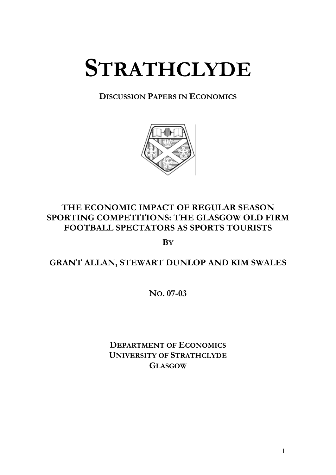# **STRATHCLYDE**

**DISCUSSION PAPERS IN ECONOMICS**



# **THE ECONOMIC IMPACT OF REGULAR SEASON SPORTING COMPETITIONS: THE GLASGOW OLD FIRM FOOTBALL SPECTATORS AS SPORTS TOURISTS**

**BY**

# **GRANT ALLAN, STEWART DUNLOP AND KIM SWALES**

**NO. 07-03** 

**DEPARTMENT OF ECONOMICS UNIVERSITY OF STRATHCLYDE GLASGOW**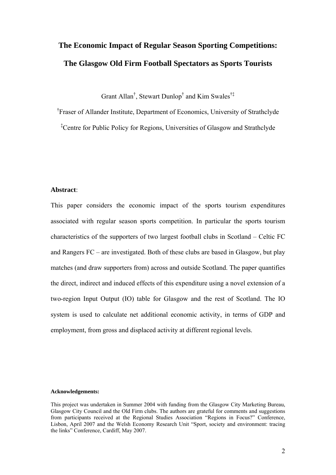# **The Economic Impact of Regular Season Sporting Competitions: The Glasgow Old Firm Football Spectators as Sports Tourists**

Grant Allan<sup>†</sup>, Stewart Dunlop<sup>†</sup> and Kim Swales<sup>†‡</sup>

<sup>†</sup> Fraser of Allander Institute, Department of Economics, University of Strathclyde

‡ Centre for Public Policy for Regions, Universities of Glasgow and Strathclyde

#### **Abstract**:

This paper considers the economic impact of the sports tourism expenditures associated with regular season sports competition. In particular the sports tourism characteristics of the supporters of two largest football clubs in Scotland – Celtic FC and Rangers FC – are investigated. Both of these clubs are based in Glasgow, but play matches (and draw supporters from) across and outside Scotland. The paper quantifies the direct, indirect and induced effects of this expenditure using a novel extension of a two-region Input Output (IO) table for Glasgow and the rest of Scotland. The IO system is used to calculate net additional economic activity, in terms of GDP and employment, from gross and displaced activity at different regional levels.

#### **cknowledgements: A**

This project was undertaken in Summer 2004 with funding from the Glasgow City Marketing Bureau, Glasgow City Council and the Old Firm clubs. The authors are grateful for comments and suggestions from participants received at the Regional Studies Association "Regions in Focus?" Conference, Lisbon, April 2007 and the Welsh Economy Research Unit "Sport, society and environment: tracing the links" Conference, Cardiff, May 2007.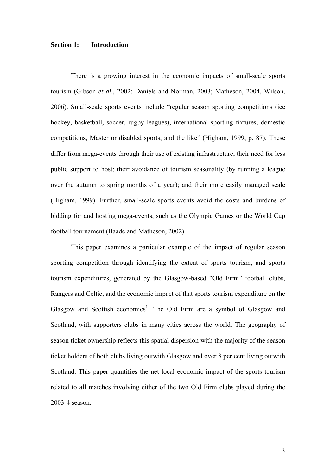#### **Section 1: Introduction**

There is a growing interest in the economic impacts of small-scale sports tourism (Gibson *et al.*, 2002; Daniels and Norman, 2003; Matheson, 2004, Wilson, 2006). Small-scale sports events include "regular season sporting competitions (ice hockey, basketball, soccer, rugby leagues), international sporting fixtures, domestic competitions, Master or disabled sports, and the like" (Higham, 1999, p. 87). These differ from mega-events through their use of existing infrastructure; their need for less public support to host; their avoidance of tourism seasonality (by running a league over the autumn to spring months of a year); and their more easily managed scale (Higham, 1999). Further, small-scale sports events avoid the costs and burdens of bidding for and hosting mega-events, such as the Olympic Games or the World Cup football tournament (Baade and Matheson, 2002).

This paper examines a particular example of the impact of regular season Glasgow and Scottish economies<sup>1</sup>. The Old Firm are a symbol of Glasgow and sporting competition through identifying the extent of sports tourism, and sports tourism expenditures, generated by the Glasgow-based "Old Firm" football clubs, Rangers and Celtic, and the economic impact of that sports tourism expenditure on the Scotland, with supporters clubs in many cities across the world. The geography of season ticket ownership reflects this spatial dispersion with the majority of the season ticket holders of both clubs living outwith Glasgow and over 8 per cent living outwith Scotland. This paper quantifies the net local economic impact of the sports tourism related to all matches involving either of the two Old Firm clubs played during the 2003-4 season.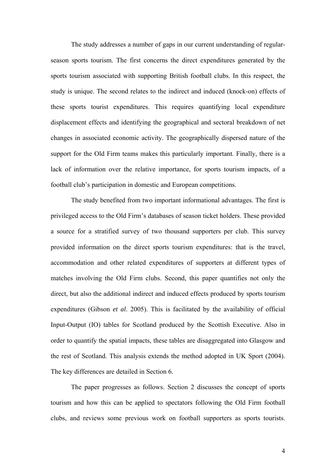The study addresses a number of gaps in our current understanding of regularseason sports tourism. The first concerns the direct expenditures generated by the sports tourism associated with supporting British football clubs. In this respect, the study is unique. The second relates to the indirect and induced (knock-on) effects of these sports tourist expenditures. This requires quantifying local expenditure displacement effects and identifying the geographical and sectoral breakdown of net changes in associated economic activity. The geographically dispersed nature of the support for the Old Firm teams makes this particularly important. Finally, there is a lack of information over the relative importance, for sports tourism impacts, of a football club's participation in domestic and European competitions.

The study benefited from two important informational advantages. The first is privileged access to the Old Firm's databases of season ticket holders. These provided a source for a stratified survey of two thousand supporters per club. This survey provided information on the direct sports tourism expenditures: that is the travel, accommodation and other related expenditures of supporters at different types of matches involving the Old Firm clubs. Second, this paper quantifies not only the direct, but also the additional indirect and induced effects produced by sports tourism expenditures (Gibson *et al*. 2005). This is facilitated by the availability of official Input-Output (IO) tables for Scotland produced by the Scottish Executive. Also in order to quantify the spatial impacts, these tables are disaggregated into Glasgow and the rest of Scotland. This analysis extends the method adopted in UK Sport (2004). The key differences are detailed in Section 6.

The paper progresses as follows. Section 2 discusses the concept of sports tourism and how this can be applied to spectators following the Old Firm football clubs, and reviews some previous work on football supporters as sports tourists.

4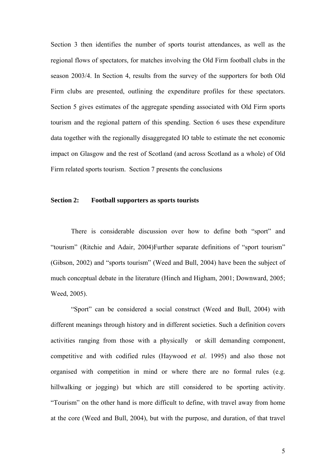Section 3 then identifies the number of sports tourist attendances, as well as the regional flows of spectators, for matches involving the Old Firm football clubs in the season 2003/4. In Section 4, results from the survey of the supporters for both Old Firm clubs are presented, outlining the expenditure profiles for these spectators. Section 5 gives estimates of the aggregate spending associated with Old Firm sports tourism and the regional pattern of this spending. Section 6 uses these expenditure data together with the regionally disaggregated IO table to estimate the net economic impact on Glasgow and the rest of Scotland (and across Scotland as a whole) of Old Firm related sports tourism. Section 7 presents the conclusions

#### **Section 2: Football supporters as sports tourists**

There is considerable discussion over how to define both "sport" and "tourism" (Ritchie and Adair, 2004)Further separate definitions of "sport tourism" (Gibson, 2002) and "sports tourism" (Weed and Bull, 2004) have been the subject of much conceptual debate in the literature (Hinch and Higham, 2001; Downward, 2005; Weed, 2005).

"Sport" can be considered a social construct (Weed and Bull, 2004) with different meanings through history and in different societies. Such a definition covers activities ranging from those with a physically or skill demanding component, competitive and with codified rules (Haywood *et al*. 1995) and also those not organised with competition in mind or where there are no formal rules (e.g. hillwalking or jogging) but which are still considered to be sporting activity. "Tourism" on the other hand is more difficult to define, with travel away from home at the core (Weed and Bull, 2004), but with the purpose, and duration, of that travel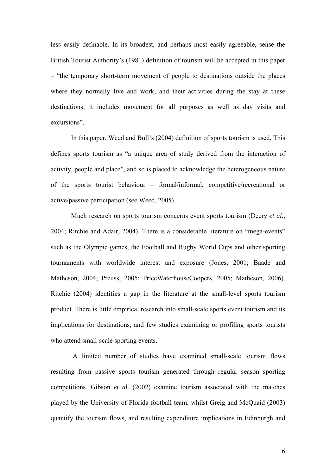less easily definable. In its broadest, and perhaps most easily agreeable, sense the British Tourist Authority's (1981) definition of tourism will be accepted in this paper – "the temporary short-term movement of people to destinations outside the places where they normally live and work, and their activities during the stay at these destinations; it includes movement for all purposes as well as day visits and excursions".

In this paper, Weed and Bull's (2004) definition of sports tourism is used. This defines sports tourism as "a unique area of study derived from the interaction of activity, people and place", and so is placed to acknowledge the heterogeneous nature of the sports tourist behaviour – formal/informal, competitive/recreational or active/passive participation (see Weed, 2005).

Much research on sports tourism concerns event sports tourism (Deery *et al*., 2004; Ritchie and Adair, 2004). There is a considerable literature on "mega-events" such as the Olympic games, the Football and Rugby World Cups and other sporting tournaments with worldwide interest and exposure (Jones, 2001; Baade and Matheson, 2004; Preuss, 2005; PriceWaterhouseCoopers, 2005; Matheson, 2006). Ritchie (2004) identifies a gap in the literature at the small-level sports tourism product. There is little empirical research into small-scale sports event tourism and its implications for destinations, and few studies examining or profiling sports tourists who attend small-scale sporting events.

 A limited number of studies have examined small-scale tourism flows resulting from passive sports tourism generated through regular season sporting competitions. Gibson *et al*. (2002) examine tourism associated with the matches played by the University of Florida football team, whilst Greig and McQuaid (2003) quantify the tourism flows, and resulting expenditure implications in Edinburgh and

6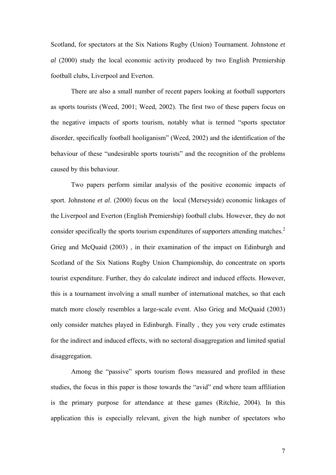Scotland, for spectators at the Six Nations Rugby (Union) Tournament. Johnstone *et al* (2000) study the local economic activity produced by two English Premiership football clubs, Liverpool and Everton.

There are also a small number of recent papers looking at football supporters as sports tourists (Weed, 2001; Weed, 2002). The first two of these papers focus on the negative impacts of sports tourism, notably what is termed "sports spectator disorder, specifically football hooliganism" (Weed, 2002) and the identification of the behaviour of these "undesirable sports tourists" and the recognition of the problems caused by this behaviour.

Two papers perform similar analysis of the positive economic impacts of sport. Johnstone *et al*. (2000) focus on the local (Merseyside) economic linkages of the Liverpool and Everton (English Premiership) football clubs. However, they do not consider specifically the sports tourism expenditures of supporters attending matches.<sup>2</sup> Grieg and McQuaid (2003) , in their examination of the impact on Edinburgh and Scotland of the Six Nations Rugby Union Championship, do concentrate on sports tourist expenditure. Further, they do calculate indirect and induced effects. However, this is a tournament involving a small number of international matches, so that each match more closely resembles a large-scale event. Also Grieg and McQuaid (2003) only consider matches played in Edinburgh. Finally , they you very crude estimates for the indirect and induced effects, with no sectoral disaggregation and limited spatial disaggregation.

Among the "passive" sports tourism flows measured and profiled in these studies, the focus in this paper is those towards the "avid" end where team affiliation is the primary purpose for attendance at these games (Ritchie, 2004). In this application this is especially relevant, given the high number of spectators who

7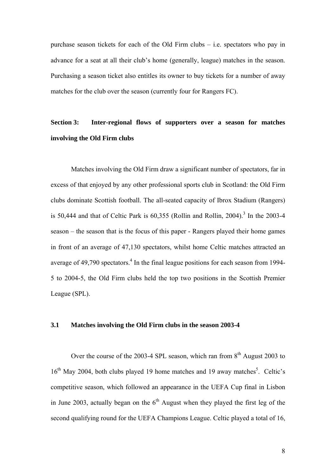purchase season tickets for each of the Old Firm clubs – i.e. spectators who pay in advance for a seat at all their club's home (generally, league) matches in the season. Purchasing a season ticket also entitles its owner to buy tickets for a number of away matches for the club over the season (currently four for Rangers FC).

# **Section 3: Inter-regional flows of supporters over a season for matches involving the Old Firm clubs**

Matches involving the Old Firm draw a significant number of spectators, far in excess of that enjoyed by any other professional sports club in Scotland: the Old Firm clubs dominate Scottish football. The all-seated capacity of Ibrox Stadium (Rangers) is  $50,444$  and that of Celtic Park is  $60,355$  (Rollin and Rollin,  $2004$ ).<sup>3</sup> In the  $2003-4$ season – the season that is the focus of this paper - Rangers played their home games in front of an average of 47,130 spectators, whilst home Celtic matches attracted an average of 49,790 spectators. $4$  In the final league positions for each season from 1994-5 to 2004-5, the Old Firm clubs held the top two positions in the Scottish Premier League (SPL).

#### **3.1 Matches involving the Old Firm clubs in the season 2003-4**

Over the course of the 2003-4 SPL season, which ran from  $8<sup>th</sup>$  August 2003 to 16<sup>th</sup> May 2004, both clubs played 19 home matches and 19 away matches<sup>5</sup>. Celtic's competitive season, which followed an appearance in the UEFA Cup final in Lisbon in June 2003, actually began on the  $6<sup>th</sup>$  August when they played the first leg of the second qualifying round for the UEFA Champions League. Celtic played a total of 16,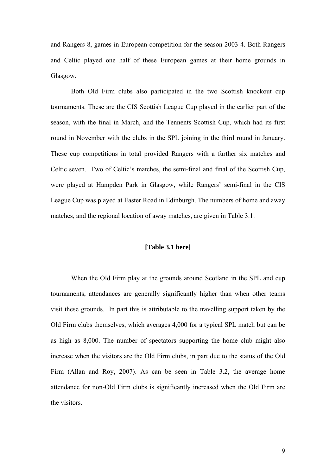and Rangers 8, games in European competition for the season 2003-4. Both Rangers and Celtic played one half of these European games at their home grounds in Glasgow.

Both Old Firm clubs also participated in the two Scottish knockout cup tournaments. These are the CIS Scottish League Cup played in the earlier part of the season, with the final in March, and the Tennents Scottish Cup, which had its first round in November with the clubs in the SPL joining in the third round in January. These cup competitions in total provided Rangers with a further six matches and Celtic seven. Two of Celtic's matches, the semi-final and final of the Scottish Cup, were played at Hampden Park in Glasgow, while Rangers' semi-final in the CIS League Cup was played at Easter Road in Edinburgh. The numbers of home and away matches, and the regional location of away matches, are given in Table 3.1.

#### **[Table 3.1 here]**

When the Old Firm play at the grounds around Scotland in the SPL and cup tournaments, attendances are generally significantly higher than when other teams visit these grounds. In part this is attributable to the travelling support taken by the Old Firm clubs themselves, which averages 4,000 for a typical SPL match but can be as high as 8,000. The number of spectators supporting the home club might also increase when the visitors are the Old Firm clubs, in part due to the status of the Old Firm (Allan and Roy, 2007). As can be seen in Table 3.2, the average home attendance for non-Old Firm clubs is significantly increased when the Old Firm are the visitors.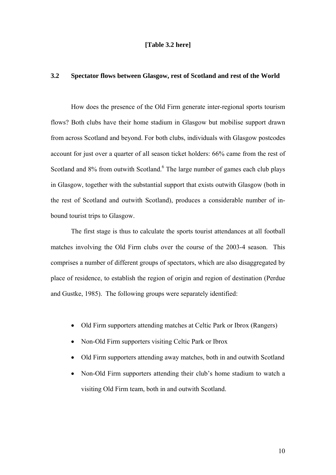#### **[Table 3.2 here]**

#### **3.2 Spectator flows between Glasgow, rest of Scotland and rest of the World**

 How does the presence of the Old Firm generate inter-regional sports tourism flows? Both clubs have their home stadium in Glasgow but mobilise support drawn from across Scotland and beyond. For both clubs, individuals with Glasgow postcodes account for just over a quarter of all season ticket holders: 66% came from the rest of Scotland and 8% from outwith Scotland.<sup>6</sup> The large number of games each club plays in Glasgow, together with the substantial support that exists outwith Glasgow (both in the rest of Scotland and outwith Scotland), produces a considerable number of inbound tourist trips to Glasgow.

The first stage is thus to calculate the sports tourist attendances at all football matches involving the Old Firm clubs over the course of the 2003-4 season. This comprises a number of different groups of spectators, which are also disaggregated by place of residence, to establish the region of origin and region of destination (Perdue and Gustke, 1985). The following groups were separately identified:

- Old Firm supporters attending matches at Celtic Park or Ibrox (Rangers)
- Non-Old Firm supporters visiting Celtic Park or Ibrox
- Old Firm supporters attending away matches, both in and outwith Scotland
- Non-Old Firm supporters attending their club's home stadium to watch a visiting Old Firm team, both in and outwith Scotland.

10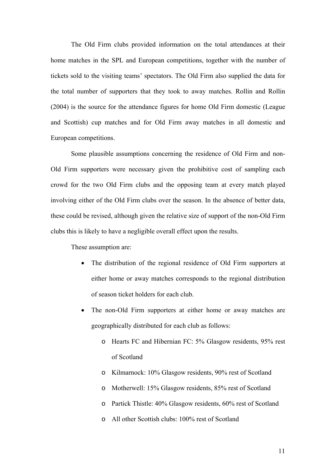The Old Firm clubs provided information on the total attendances at their home matches in the SPL and European competitions, together with the number of tickets sold to the visiting teams' spectators. The Old Firm also supplied the data for the total number of supporters that they took to away matches. Rollin and Rollin (2004) is the source for the attendance figures for home Old Firm domestic (League and Scottish) cup matches and for Old Firm away matches in all domestic and European competitions.

Some plausible assumptions concerning the residence of Old Firm and non-Old Firm supporters were necessary given the prohibitive cost of sampling each crowd for the two Old Firm clubs and the opposing team at every match played involving either of the Old Firm clubs over the season. In the absence of better data, these could be revised, although given the relative size of support of the non-Old Firm clubs this is likely to have a negligible overall effect upon the results.

These assumption are:

- The distribution of the regional residence of Old Firm supporters at either home or away matches corresponds to the regional distribution of season ticket holders for each club.
- The non-Old Firm supporters at either home or away matches are geographically distributed for each club as follows:
	- o Hearts FC and Hibernian FC: 5% Glasgow residents, 95% rest of Scotland
	- o Kilmarnock: 10% Glasgow residents, 90% rest of Scotland
	- o Motherwell: 15% Glasgow residents, 85% rest of Scotland
	- o Partick Thistle: 40% Glasgow residents, 60% rest of Scotland
	- o All other Scottish clubs: 100% rest of Scotland

11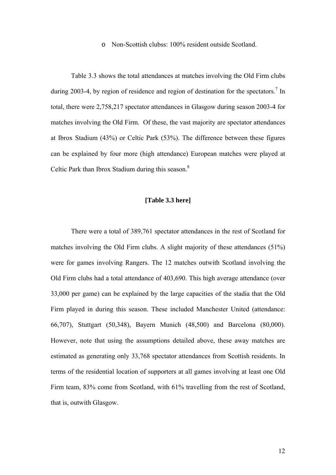#### o Non-Scottish clubss: 100% resident outside Scotland.

Table 3.3 shows the total attendances at matches involving the Old Firm clubs during 2003-4, by region of residence and region of destination for the spectators.<sup>7</sup> In total, there were 2,758,217 spectator attendances in Glasgow during season 2003-4 for matches involving the Old Firm. Of these, the vast majority are spectator attendances at Ibrox Stadium (43%) or Celtic Park (53%). The difference between these figures can be explained by four more (high attendance) European matches were played at Celtic Park than Ibrox Stadium during this season.<sup>8</sup>

#### **[Table 3.3 here]**

There were a total of 389,761 spectator attendances in the rest of Scotland for matches involving the Old Firm clubs. A slight majority of these attendances (51%) were for games involving Rangers. The 12 matches outwith Scotland involving the Old Firm clubs had a total attendance of 403,690. This high average attendance (over 33,000 per game) can be explained by the large capacities of the stadia that the Old Firm played in during this season. These included Manchester United (attendance: 66,707), Stuttgart (50,348), Bayern Munich (48,500) and Barcelona (80,000). However, note that using the assumptions detailed above, these away matches are estimated as generating only 33,768 spectator attendances from Scottish residents. In terms of the residential location of supporters at all games involving at least one Old Firm team, 83% come from Scotland, with 61% travelling from the rest of Scotland, that is, outwith Glasgow.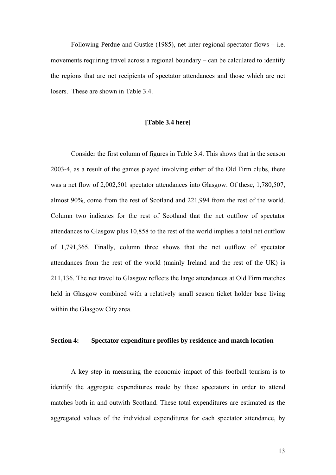Following Perdue and Gustke (1985), net inter-regional spectator flows – i.e. movements requiring travel across a regional boundary – can be calculated to identify the regions that are net recipients of spectator attendances and those which are net losers. These are shown in Table 3.4.

#### **[Table 3.4 here]**

Consider the first column of figures in Table 3.4. This shows that in the season 2003-4, as a result of the games played involving either of the Old Firm clubs, there was a net flow of 2,002,501 spectator attendances into Glasgow. Of these, 1,780,507, almost 90%, come from the rest of Scotland and 221,994 from the rest of the world. Column two indicates for the rest of Scotland that the net outflow of spectator attendances to Glasgow plus 10,858 to the rest of the world implies a total net outflow of 1,791,365. Finally, column three shows that the net outflow of spectator attendances from the rest of the world (mainly Ireland and the rest of the UK) is 211,136. The net travel to Glasgow reflects the large attendances at Old Firm matches held in Glasgow combined with a relatively small season ticket holder base living within the Glasgow City area.

#### **Section 4: Spectator expenditure profiles by residence and match location**

 A key step in measuring the economic impact of this football tourism is to identify the aggregate expenditures made by these spectators in order to attend matches both in and outwith Scotland. These total expenditures are estimated as the aggregated values of the individual expenditures for each spectator attendance, by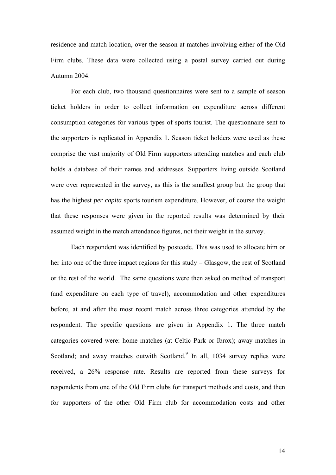residence and match location, over the season at matches involving either of the Old Firm clubs. These data were collected using a postal survey carried out during Autumn 2004.

For each club, two thousand questionnaires were sent to a sample of season ticket holders in order to collect information on expenditure across different consumption categories for various types of sports tourist. The questionnaire sent to the supporters is replicated in Appendix 1. Season ticket holders were used as these comprise the vast majority of Old Firm supporters attending matches and each club holds a database of their names and addresses. Supporters living outside Scotland were over represented in the survey, as this is the smallest group but the group that has the highest *per capita* sports tourism expenditure. However, of course the weight that these responses were given in the reported results was determined by their assumed weight in the match attendance figures, not their weight in the survey.

Each respondent was identified by postcode. This was used to allocate him or her into one of the three impact regions for this study – Glasgow, the rest of Scotland or the rest of the world. The same questions were then asked on method of transport (and expenditure on each type of travel), accommodation and other expenditures before, at and after the most recent match across three categories attended by the respondent. The specific questions are given in Appendix 1. The three match categories covered were: home matches (at Celtic Park or Ibrox); away matches in Scotland; and away matches outwith Scotland.<sup>9</sup> In all, 1034 survey replies were received, a 26% response rate. Results are reported from these surveys for respondents from one of the Old Firm clubs for transport methods and costs, and then for supporters of the other Old Firm club for accommodation costs and other

14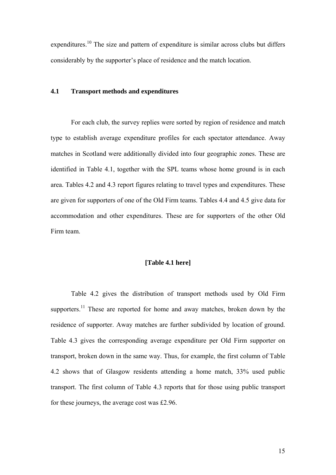expenditures.<sup>10</sup> The size and pattern of expenditure is similar across clubs but differs considerably by the supporter's place of residence and the match location.

#### **4.1 Transport methods and expenditures**

For each club, the survey replies were sorted by region of residence and match type to establish average expenditure profiles for each spectator attendance. Away matches in Scotland were additionally divided into four geographic zones. These are identified in Table 4.1, together with the SPL teams whose home ground is in each area. Tables 4.2 and 4.3 report figures relating to travel types and expenditures. These are given for supporters of one of the Old Firm teams. Tables 4.4 and 4.5 give data for accommodation and other expenditures. These are for supporters of the other Old Firm team.

#### **[Table 4.1 here]**

Table 4.2 gives the distribution of transport methods used by Old Firm supporters.<sup>11</sup> These are reported for home and away matches, broken down by the residence of supporter. Away matches are further subdivided by location of ground. Table 4.3 gives the corresponding average expenditure per Old Firm supporter on transport, broken down in the same way. Thus, for example, the first column of Table 4.2 shows that of Glasgow residents attending a home match, 33% used public transport. The first column of Table 4.3 reports that for those using public transport for these journeys, the average cost was £2.96.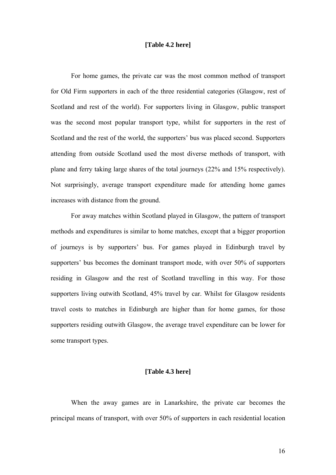#### **[Table 4.2 here]**

For home games, the private car was the most common method of transport for Old Firm supporters in each of the three residential categories (Glasgow, rest of Scotland and rest of the world). For supporters living in Glasgow, public transport was the second most popular transport type, whilst for supporters in the rest of Scotland and the rest of the world, the supporters' bus was placed second. Supporters attending from outside Scotland used the most diverse methods of transport, with plane and ferry taking large shares of the total journeys (22% and 15% respectively). Not surprisingly, average transport expenditure made for attending home games increases with distance from the ground.

 For away matches within Scotland played in Glasgow, the pattern of transport methods and expenditures is similar to home matches, except that a bigger proportion of journeys is by supporters' bus. For games played in Edinburgh travel by supporters' bus becomes the dominant transport mode, with over 50% of supporters residing in Glasgow and the rest of Scotland travelling in this way. For those supporters living outwith Scotland, 45% travel by car. Whilst for Glasgow residents travel costs to matches in Edinburgh are higher than for home games, for those supporters residing outwith Glasgow, the average travel expenditure can be lower for some transport types.

#### **[Table 4.3 here]**

When the away games are in Lanarkshire, the private car becomes the principal means of transport, with over 50% of supporters in each residential location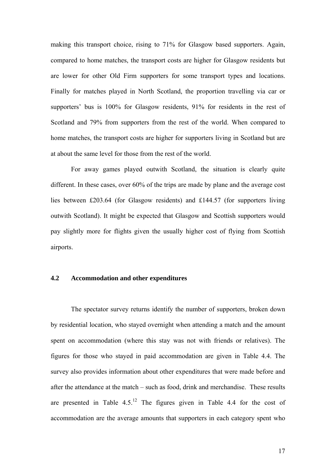making this transport choice, rising to 71% for Glasgow based supporters. Again, compared to home matches, the transport costs are higher for Glasgow residents but are lower for other Old Firm supporters for some transport types and locations. Finally for matches played in North Scotland, the proportion travelling via car or supporters' bus is 100% for Glasgow residents, 91% for residents in the rest of Scotland and 79% from supporters from the rest of the world. When compared to home matches, the transport costs are higher for supporters living in Scotland but are at about the same level for those from the rest of the world.

 For away games played outwith Scotland, the situation is clearly quite different. In these cases, over 60% of the trips are made by plane and the average cost lies between £203.64 (for Glasgow residents) and £144.57 (for supporters living outwith Scotland). It might be expected that Glasgow and Scottish supporters would pay slightly more for flights given the usually higher cost of flying from Scottish airports.

#### **4.2 Accommodation and other expenditures**

 The spectator survey returns identify the number of supporters, broken down by residential location, who stayed overnight when attending a match and the amount spent on accommodation (where this stay was not with friends or relatives). The figures for those who stayed in paid accommodation are given in Table 4.4. The survey also provides information about other expenditures that were made before and after the attendance at the match – such as food, drink and merchandise. These results are presented in Table  $4.5<sup>12</sup>$  The figures given in Table 4.4 for the cost of accommodation are the average amounts that supporters in each category spent who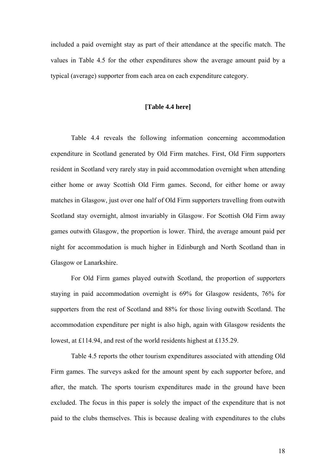included a paid overnight stay as part of their attendance at the specific match. The values in Table 4.5 for the other expenditures show the average amount paid by a typical (average) supporter from each area on each expenditure category.

#### **[Table 4.4 here]**

 Table 4.4 reveals the following information concerning accommodation expenditure in Scotland generated by Old Firm matches. First, Old Firm supporters resident in Scotland very rarely stay in paid accommodation overnight when attending either home or away Scottish Old Firm games. Second, for either home or away matches in Glasgow, just over one half of Old Firm supporters travelling from outwith Scotland stay overnight, almost invariably in Glasgow. For Scottish Old Firm away games outwith Glasgow, the proportion is lower. Third, the average amount paid per night for accommodation is much higher in Edinburgh and North Scotland than in Glasgow or Lanarkshire.

For Old Firm games played outwith Scotland, the proportion of supporters staying in paid accommodation overnight is 69% for Glasgow residents, 76% for supporters from the rest of Scotland and 88% for those living outwith Scotland. The accommodation expenditure per night is also high, again with Glasgow residents the lowest, at £114.94, and rest of the world residents highest at £135.29.

Table 4.5 reports the other tourism expenditures associated with attending Old Firm games. The surveys asked for the amount spent by each supporter before, and after, the match. The sports tourism expenditures made in the ground have been excluded. The focus in this paper is solely the impact of the expenditure that is not paid to the clubs themselves. This is because dealing with expenditures to the clubs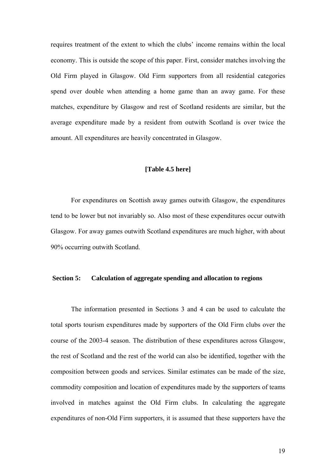requires treatment of the extent to which the clubs' income remains within the local economy. This is outside the scope of this paper. First, consider matches involving the Old Firm played in Glasgow. Old Firm supporters from all residential categories spend over double when attending a home game than an away game. For these matches, expenditure by Glasgow and rest of Scotland residents are similar, but the average expenditure made by a resident from outwith Scotland is over twice the amount. All expenditures are heavily concentrated in Glasgow.

#### **[Table 4.5 here]**

For expenditures on Scottish away games outwith Glasgow, the expenditures tend to be lower but not invariably so. Also most of these expenditures occur outwith Glasgow. For away games outwith Scotland expenditures are much higher, with about 90% occurring outwith Scotland.

#### **Section 5: Calculation of aggregate spending and allocation to regions**

The information presented in Sections 3 and 4 can be used to calculate the total sports tourism expenditures made by supporters of the Old Firm clubs over the course of the 2003-4 season. The distribution of these expenditures across Glasgow, the rest of Scotland and the rest of the world can also be identified, together with the composition between goods and services. Similar estimates can be made of the size, commodity composition and location of expenditures made by the supporters of teams involved in matches against the Old Firm clubs. In calculating the aggregate expenditures of non-Old Firm supporters, it is assumed that these supporters have the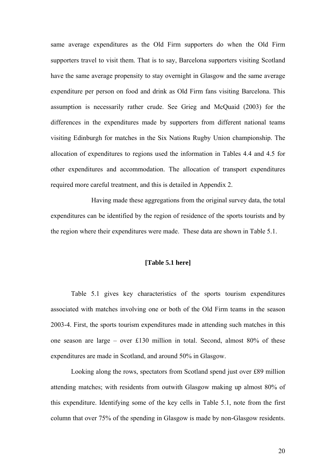same average expenditures as the Old Firm supporters do when the Old Firm supporters travel to visit them. That is to say, Barcelona supporters visiting Scotland have the same average propensity to stay overnight in Glasgow and the same average expenditure per person on food and drink as Old Firm fans visiting Barcelona. This assumption is necessarily rather crude. See Grieg and McQuaid (2003) for the differences in the expenditures made by supporters from different national teams visiting Edinburgh for matches in the Six Nations Rugby Union championship. The allocation of expenditures to regions used the information in Tables 4.4 and 4.5 for other expenditures and accommodation. The allocation of transport expenditures required more careful treatment, and this is detailed in Appendix 2.

 Having made these aggregations from the original survey data, the total expenditures can be identified by the region of residence of the sports tourists and by the region where their expenditures were made. These data are shown in Table 5.1.

#### **[Table 5.1 here]**

Table 5.1 gives key characteristics of the sports tourism expenditures associated with matches involving one or both of the Old Firm teams in the season 2003-4. First, the sports tourism expenditures made in attending such matches in this one season are large – over £130 million in total. Second, almost 80% of these expenditures are made in Scotland, and around 50% in Glasgow.

Looking along the rows, spectators from Scotland spend just over £89 million attending matches; with residents from outwith Glasgow making up almost 80% of this expenditure. Identifying some of the key cells in Table 5.1, note from the first column that over 75% of the spending in Glasgow is made by non-Glasgow residents.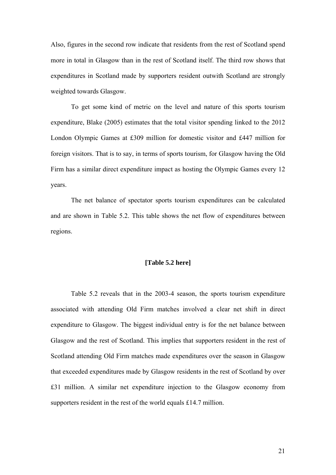Also, figures in the second row indicate that residents from the rest of Scotland spend more in total in Glasgow than in the rest of Scotland itself. The third row shows that expenditures in Scotland made by supporters resident outwith Scotland are strongly weighted towards Glasgow.

To get some kind of metric on the level and nature of this sports tourism expenditure, Blake (2005) estimates that the total visitor spending linked to the 2012 London Olympic Games at £309 million for domestic visitor and £447 million for foreign visitors. That is to say, in terms of sports tourism, for Glasgow having the Old Firm has a similar direct expenditure impact as hosting the Olympic Games every 12 years.

The net balance of spectator sports tourism expenditures can be calculated and are shown in Table 5.2. This table shows the net flow of expenditures between regions.

#### **[Table 5.2 here]**

 Table 5.2 reveals that in the 2003-4 season, the sports tourism expenditure associated with attending Old Firm matches involved a clear net shift in direct expenditure to Glasgow. The biggest individual entry is for the net balance between Glasgow and the rest of Scotland. This implies that supporters resident in the rest of Scotland attending Old Firm matches made expenditures over the season in Glasgow that exceeded expenditures made by Glasgow residents in the rest of Scotland by over £31 million. A similar net expenditure injection to the Glasgow economy from supporters resident in the rest of the world equals £14.7 million.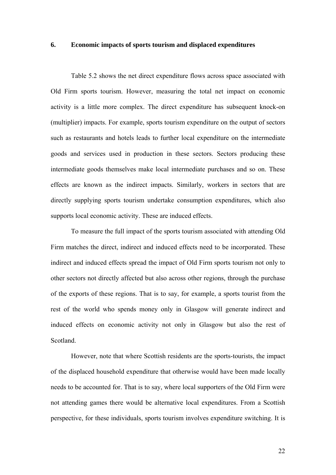#### **6. Economic impacts of sports tourism and displaced expenditures**

 Table 5.2 shows the net direct expenditure flows across space associated with Old Firm sports tourism. However, measuring the total net impact on economic activity is a little more complex. The direct expenditure has subsequent knock-on (multiplier) impacts. For example, sports tourism expenditure on the output of sectors such as restaurants and hotels leads to further local expenditure on the intermediate goods and services used in production in these sectors. Sectors producing these intermediate goods themselves make local intermediate purchases and so on. These effects are known as the indirect impacts. Similarly, workers in sectors that are directly supplying sports tourism undertake consumption expenditures, which also supports local economic activity. These are induced effects.

To measure the full impact of the sports tourism associated with attending Old Firm matches the direct, indirect and induced effects need to be incorporated. These indirect and induced effects spread the impact of Old Firm sports tourism not only to other sectors not directly affected but also across other regions, through the purchase of the exports of these regions. That is to say, for example, a sports tourist from the rest of the world who spends money only in Glasgow will generate indirect and induced effects on economic activity not only in Glasgow but also the rest of Scotland.

However, note that where Scottish residents are the sports-tourists, the impact of the displaced household expenditure that otherwise would have been made locally needs to be accounted for. That is to say, where local supporters of the Old Firm were not attending games there would be alternative local expenditures. From a Scottish perspective, for these individuals, sports tourism involves expenditure switching. It is

22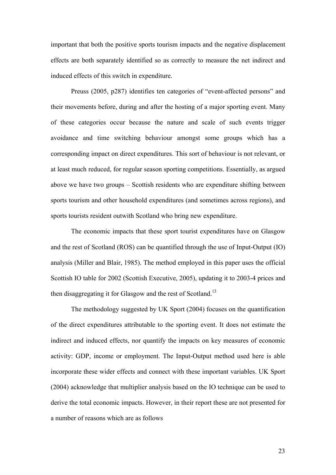important that both the positive sports tourism impacts and the negative displacement effects are both separately identified so as correctly to measure the net indirect and induced effects of this switch in expenditure.

Preuss (2005, p287) identifies ten categories of "event-affected persons" and their movements before, during and after the hosting of a major sporting event. Many of these categories occur because the nature and scale of such events trigger avoidance and time switching behaviour amongst some groups which has a corresponding impact on direct expenditures. This sort of behaviour is not relevant, or at least much reduced, for regular season sporting competitions. Essentially, as argued above we have two groups – Scottish residents who are expenditure shifting between sports tourism and other household expenditures (and sometimes across regions), and sports tourists resident outwith Scotland who bring new expenditure.

 The economic impacts that these sport tourist expenditures have on Glasgow and the rest of Scotland (ROS) can be quantified through the use of Input-Output (IO) analysis (Miller and Blair, 1985). The method employed in this paper uses the official Scottish IO table for 2002 (Scottish Executive, 2005), updating it to 2003-4 prices and then disaggregating it for Glasgow and the rest of Scotland.<sup>13</sup>

The methodology suggested by UK Sport (2004) focuses on the quantification of the direct expenditures attributable to the sporting event. It does not estimate the indirect and induced effects, nor quantify the impacts on key measures of economic activity: GDP, income or employment. The Input-Output method used here is able incorporate these wider effects and connect with these important variables. UK Sport (2004) acknowledge that multiplier analysis based on the IO technique can be used to derive the total economic impacts. However, in their report these are not presented for a number of reasons which are as follows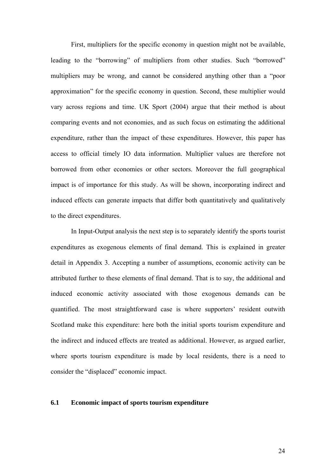First, multipliers for the specific economy in question might not be available, leading to the "borrowing" of multipliers from other studies. Such "borrowed" multipliers may be wrong, and cannot be considered anything other than a "poor approximation" for the specific economy in question. Second, these multiplier would vary across regions and time. UK Sport (2004) argue that their method is about comparing events and not economies, and as such focus on estimating the additional expenditure, rather than the impact of these expenditures. However, this paper has access to official timely IO data information. Multiplier values are therefore not borrowed from other economies or other sectors. Moreover the full geographical impact is of importance for this study. As will be shown, incorporating indirect and induced effects can generate impacts that differ both quantitatively and qualitatively to the direct expenditures.

In Input-Output analysis the next step is to separately identify the sports tourist expenditures as exogenous elements of final demand. This is explained in greater detail in Appendix 3. Accepting a number of assumptions, economic activity can be attributed further to these elements of final demand. That is to say, the additional and induced economic activity associated with those exogenous demands can be quantified. The most straightforward case is where supporters' resident outwith Scotland make this expenditure: here both the initial sports tourism expenditure and the indirect and induced effects are treated as additional. However, as argued earlier, where sports tourism expenditure is made by local residents, there is a need to consider the "displaced" economic impact.

#### **6.1 Economic impact of sports tourism expenditure**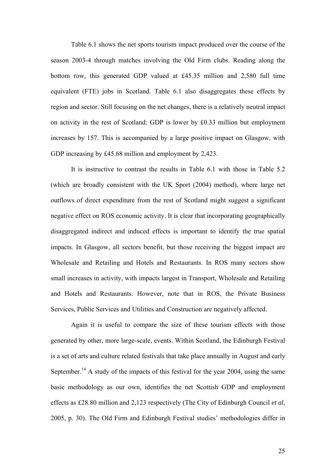Table 6.1 shows the net sports tourism impact produced over the course of the season 2003-4 through matches involving the Old Firm clubs. Reading along the bottom row, this generated GDP valued at £45.35 million and 2,580 full time equivalent (FTE) jobs in Scotland. Table 6.1 also disaggregates these effects by region and sector. Still focusing on the net changes, there is a relatively neutral impact on activity in the rest of Scotland: GDP is lower by £0.33 million but employment increases by 157. This is accompanied by a large positive impact on Glasgow, with GDP increasing by £45.68 million and employment by 2,423.

It is instructive to contrast the results in Table 6.1 with those in Table 5.2 (which are broadly consistent with the UK Sport (2004) method), where large net outflows of direct expenditure from the rest of Scotland might suggest a significant negative effect on ROS economic activity. It is clear that incorporating geographically disaggregated indirect and induced effects is important to identify the true spatial impacts. In Glasgow, all sectors benefit, but those receiving the biggest impact are Wholesale and Retailing and Hotels and Restaurants. In ROS many sectors show small increases in activity, with impacts largest in Transport, Wholesale and Retailing and Hotels and Restaurants. However, note that in ROS, the Private Business Services, Public Services and Utilities and Construction are negatively affected.

Again it is useful to compare the size of these tourism effects with those generated by other, more large-scale, events. Within Scotland, the Edinburgh Festival is a set of arts and culture related festivals that take place annually in August and early September.<sup>14</sup> A study of the impacts of this festival for the year 2004, using the same basic methodology as our own, identifies the net Scottish GDP and employment effects as £28.80 million and 2,123 respectively (The City of Edinburgh Council *et al*, 2005, p. 30). The Old Firm and Edinburgh Festival studies' methodologies differ in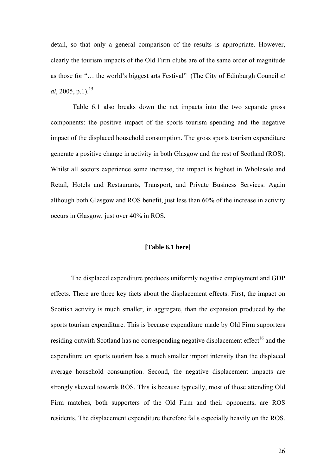detail, so that only a general comparison of the results is appropriate. However, clearly the tourism impacts of the Old Firm clubs are of the same order of magnitude as those for "… the world's biggest arts Festival" (The City of Edinburgh Council *et al*, 2005, p.1).<sup>15</sup>

 Table 6.1 also breaks down the net impacts into the two separate gross components: the positive impact of the sports tourism spending and the negative impact of the displaced household consumption. The gross sports tourism expenditure generate a positive change in activity in both Glasgow and the rest of Scotland (ROS). Whilst all sectors experience some increase, the impact is highest in Wholesale and Retail, Hotels and Restaurants, Transport, and Private Business Services. Again although both Glasgow and ROS benefit, just less than 60% of the increase in activity occurs in Glasgow, just over 40% in ROS.

#### **[Table 6.1 here]**

The displaced expenditure produces uniformly negative employment and GDP effects. There are three key facts about the displacement effects. First, the impact on Scottish activity is much smaller, in aggregate, than the expansion produced by the sports tourism expenditure. This is because expenditure made by Old Firm supporters residing outwith Scotland has no corresponding negative displacement effect<sup>16</sup> and the expenditure on sports tourism has a much smaller import intensity than the displaced average household consumption. Second, the negative displacement impacts are strongly skewed towards ROS. This is because typically, most of those attending Old Firm matches, both supporters of the Old Firm and their opponents, are ROS residents. The displacement expenditure therefore falls especially heavily on the ROS.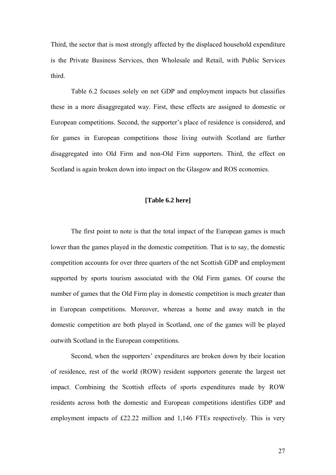Third, the sector that is most strongly affected by the displaced household expenditure is the Private Business Services, then Wholesale and Retail, with Public Services third.

Table 6.2 focuses solely on net GDP and employment impacts but classifies these in a more disaggregated way. First, these effects are assigned to domestic or European competitions. Second, the supporter's place of residence is considered, and for games in European competitions those living outwith Scotland are further disaggregated into Old Firm and non-Old Firm supporters. Third, the effect on Scotland is again broken down into impact on the Glasgow and ROS economies.

#### **[Table 6.2 here]**

 The first point to note is that the total impact of the European games is much lower than the games played in the domestic competition. That is to say, the domestic competition accounts for over three quarters of the net Scottish GDP and employment supported by sports tourism associated with the Old Firm games. Of course the number of games that the Old Firm play in domestic competition is much greater than in European competitions. Moreover, whereas a home and away match in the domestic competition are both played in Scotland, one of the games will be played outwith Scotland in the European competitions.

Second, when the supporters' expenditures are broken down by their location of residence, rest of the world (ROW) resident supporters generate the largest net impact. Combining the Scottish effects of sports expenditures made by ROW residents across both the domestic and European competitions identifies GDP and employment impacts of £22.22 million and 1,146 FTEs respectively. This is very

27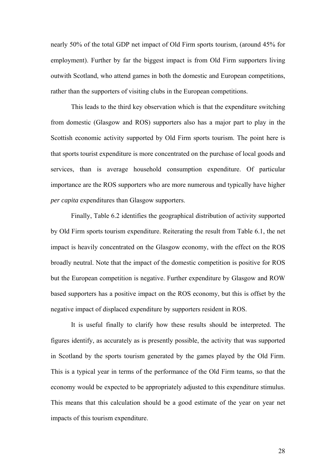nearly 50% of the total GDP net impact of Old Firm sports tourism, (around 45% for employment). Further by far the biggest impact is from Old Firm supporters living outwith Scotland, who attend games in both the domestic and European competitions, rather than the supporters of visiting clubs in the European competitions.

This leads to the third key observation which is that the expenditure switching from domestic (Glasgow and ROS) supporters also has a major part to play in the Scottish economic activity supported by Old Firm sports tourism. The point here is that sports tourist expenditure is more concentrated on the purchase of local goods and services, than is average household consumption expenditure. Of particular importance are the ROS supporters who are more numerous and typically have higher *per capita* expenditures than Glasgow supporters.

Finally, Table 6.2 identifies the geographical distribution of activity supported by Old Firm sports tourism expenditure. Reiterating the result from Table 6.1, the net impact is heavily concentrated on the Glasgow economy, with the effect on the ROS broadly neutral. Note that the impact of the domestic competition is positive for ROS but the European competition is negative. Further expenditure by Glasgow and ROW based supporters has a positive impact on the ROS economy, but this is offset by the negative impact of displaced expenditure by supporters resident in ROS.

It is useful finally to clarify how these results should be interpreted. The figures identify, as accurately as is presently possible, the activity that was supported in Scotland by the sports tourism generated by the games played by the Old Firm. This is a typical year in terms of the performance of the Old Firm teams, so that the economy would be expected to be appropriately adjusted to this expenditure stimulus. This means that this calculation should be a good estimate of the year on year net impacts of this tourism expenditure.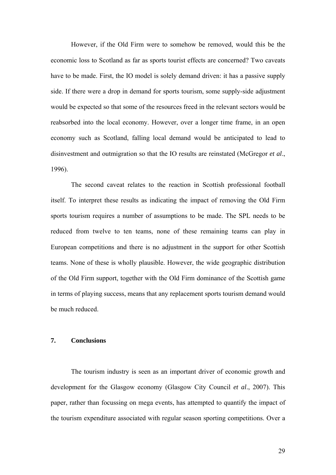However, if the Old Firm were to somehow be removed, would this be the economic loss to Scotland as far as sports tourist effects are concerned? Two caveats have to be made. First, the IO model is solely demand driven: it has a passive supply side. If there were a drop in demand for sports tourism, some supply-side adjustment would be expected so that some of the resources freed in the relevant sectors would be reabsorbed into the local economy. However, over a longer time frame, in an open economy such as Scotland, falling local demand would be anticipated to lead to disinvestment and outmigration so that the IO results are reinstated (McGregor *et al*., 1996).

The second caveat relates to the reaction in Scottish professional football itself. To interpret these results as indicating the impact of removing the Old Firm sports tourism requires a number of assumptions to be made. The SPL needs to be reduced from twelve to ten teams, none of these remaining teams can play in European competitions and there is no adjustment in the support for other Scottish teams. None of these is wholly plausible. However, the wide geographic distribution of the Old Firm support, together with the Old Firm dominance of the Scottish game in terms of playing success, means that any replacement sports tourism demand would be much reduced.

#### **7. Conclusions**

The tourism industry is seen as an important driver of economic growth and development for the Glasgow economy (Glasgow City Council *et al*., 2007). This paper, rather than focussing on mega events, has attempted to quantify the impact of the tourism expenditure associated with regular season sporting competitions. Over a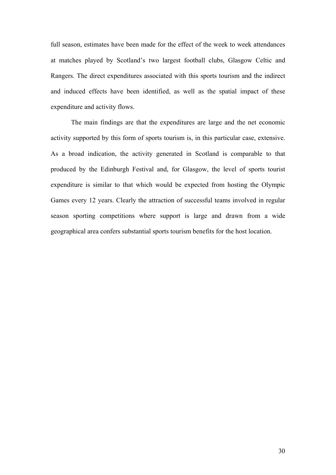full season, estimates have been made for the effect of the week to week attendances at matches played by Scotland's two largest football clubs, Glasgow Celtic and Rangers. The direct expenditures associated with this sports tourism and the indirect and induced effects have been identified, as well as the spatial impact of these expenditure and activity flows.

The main findings are that the expenditures are large and the net economic activity supported by this form of sports tourism is, in this particular case, extensive. As a broad indication, the activity generated in Scotland is comparable to that produced by the Edinburgh Festival and, for Glasgow, the level of sports tourist expenditure is similar to that which would be expected from hosting the Olympic Games every 12 years. Clearly the attraction of successful teams involved in regular season sporting competitions where support is large and drawn from a wide geographical area confers substantial sports tourism benefits for the host location.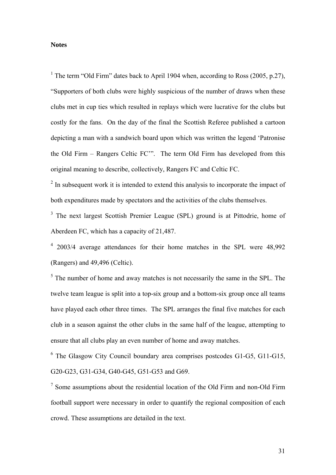#### **Notes**

<sup>1</sup> The term "Old Firm" dates back to April 1904 when, according to Ross (2005, p.27), "Supporters of both clubs were highly suspicious of the number of draws when these clubs met in cup ties which resulted in replays which were lucrative for the clubs but costly for the fans. On the day of the final the Scottish Referee published a cartoon depicting a man with a sandwich board upon which was written the legend 'Patronise the Old Firm – Rangers Celtic FC'". The term Old Firm has developed from this original meaning to describe, collectively, Rangers FC and Celtic FC.

 $2$  In subsequent work it is intended to extend this analysis to incorporate the impact of both expenditures made by spectators and the activities of the clubs themselves.

<sup>3</sup> The next largest Scottish Premier League (SPL) ground is at Pittodrie, home of Aberdeen FC, which has a capacity of 21,487.

<sup>4</sup> 2003/4 average attendances for their home matches in the SPL were 48,992 (Rangers) and 49,496 (Celtic).

 $<sup>5</sup>$  The number of home and away matches is not necessarily the same in the SPL. The</sup> twelve team league is split into a top-six group and a bottom-six group once all teams have played each other three times. The SPL arranges the final five matches for each club in a season against the other clubs in the same half of the league, attempting to ensure that all clubs play an even number of home and away matches.

<sup>6</sup> The Glasgow City Council boundary area comprises postcodes G1-G5, G11-G15, G20-G23, G31-G34, G40-G45, G51-G53 and G69.

 $7$  Some assumptions about the residential location of the Old Firm and non-Old Firm football support were necessary in order to quantify the regional composition of each crowd. These assumptions are detailed in the text.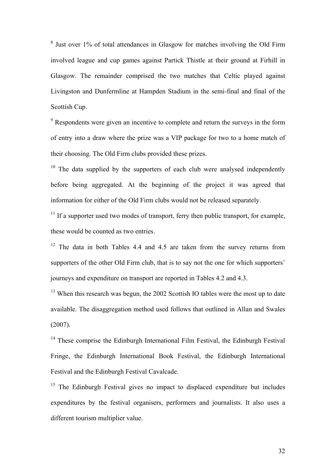<sup>8</sup> Just over 1% of total attendances in Glasgow for matches involving the Old Firm involved league and cup games against Partick Thistle at their ground at Firhill in Glasgow. The remainder comprised the two matches that Celtic played against Livingston and Dunfermline at Hampden Stadium in the semi-final and final of the Scottish Cup.

 $9^9$  Respondents were given an incentive to complete and return the surveys in the form of entry into a draw where the prize was a VIP package for two to a home match of their choosing. The Old Firm clubs provided these prizes.

 $10$  The data supplied by the supporters of each club were analysed independently before being aggregated. At the beginning of the project it was agreed that information for either of the Old Firm clubs would not be released separately.

 $11$  If a supporter used two modes of transport, ferry then public transport, for example, these would be counted as two entries.

<sup>12</sup> The data in both Tables 4.4 and 4.5 are taken from the survey returns from supporters of the other Old Firm club, that is to say not the one for which supporters' journeys and expenditure on transport are reported in Tables 4.2 and 4.3.

<sup>13</sup> When this research was begun, the 2002 Scottish IO tables were the most up to date available. The disaggregation method used follows that outlined in Allan and Swales (2007).

<sup>14</sup> These comprise the Edinburgh International Film Festival, the Edinburgh Festival Fringe, the Edinburgh International Book Festival, the Edinburgh International Festival and the Edinburgh Festival Cavalcade.

<sup>15</sup> The Edinburgh Festival gives no impact to displaced expenditure but includes expenditures by the festival organisers, performers and journalists. It also uses a different tourism multiplier value.

32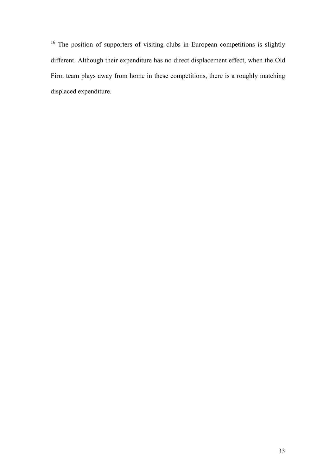<sup>16</sup> The position of supporters of visiting clubs in European competitions is slightly different. Although their expenditure has no direct displacement effect, when the Old Firm team plays away from home in these competitions, there is a roughly matching displaced expenditure.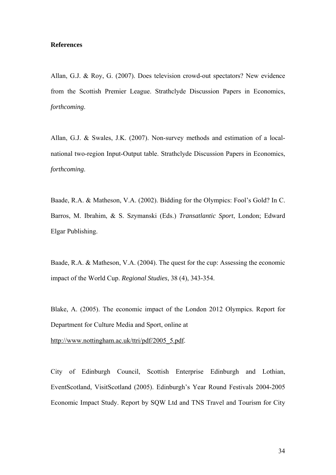#### **References**

Allan, G.J. & Roy, G. (2007). Does television crowd-out spectators? New evidence from the Scottish Premier League. Strathclyde Discussion Papers in Economics, *forthcoming*.

Allan, G.J. & Swales, J.K. (2007). Non-survey methods and estimation of a localnational two-region Input-Output table. Strathclyde Discussion Papers in Economics, *forthcoming*.

Baade, R.A. & Matheson, V.A. (2002). Bidding for the Olympics: Fool's Gold? In C. Barros, M. Ibrahim, & S. Szymanski (Eds.) *Transatlantic Sport*, London; Edward Elgar Publishing.

Baade, R.A. & Matheson, V.A. (2004). The quest for the cup: Assessing the economic impact of the World Cup. *Regional Studies*, 38 (4), 343-354.

Blake, A. (2005). The economic impact of the London 2012 Olympics. Report for Department for Culture Media and Sport, online at

http://www.nottingham.ac.uk/ttri/pdf/2005\_5.pdf.

City of Edinburgh Council, Scottish Enterprise Edinburgh and Lothian, EventScotland, VisitScotland (2005). Edinburgh's Year Round Festivals 2004-2005 Economic Impact Study. Report by SQW Ltd and TNS Travel and Tourism for City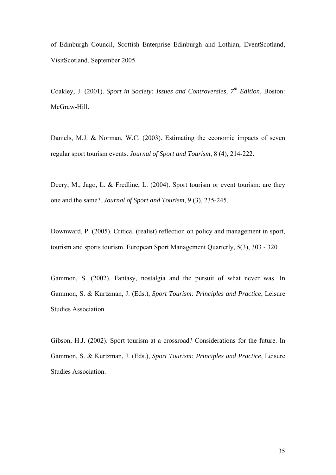of Edinburgh Council, Scottish Enterprise Edinburgh and Lothian, EventScotland, VisitScotland, September 2005.

Coakley, J. (2001). *Sport in Society: Issues and Controversies, 7th Edition*. Boston: McGraw-Hill.

Daniels, M.J. & Norman, W.C. (2003). Estimating the economic impacts of seven regular sport tourism events. *Journal of Sport and Tourism*, 8 (4), 214-222.

Deery, M., Jago, L. & Fredline, L. (2004). Sport tourism or event tourism: are they one and the same?. *Journal of Sport and Tourism*, 9 (3), 235-245.

Downward, P. (2005). Critical (realist) reflection on policy and management in sport, tourism and sports tourism. European Sport Management Quarterly, 5(3), 303 - 320

Gammon, S. (2002). Fantasy, nostalgia and the pursuit of what never was. In Gammon, S. & Kurtzman, J. (Eds.), *Sport Tourism: Principles and Practice*, Leisure Studies Association.

Gibson, H.J. (2002). Sport tourism at a crossroad? Considerations for the future. In Gammon, S. & Kurtzman, J. (Eds.), *Sport Tourism: Principles and Practice*, Leisure Studies Association.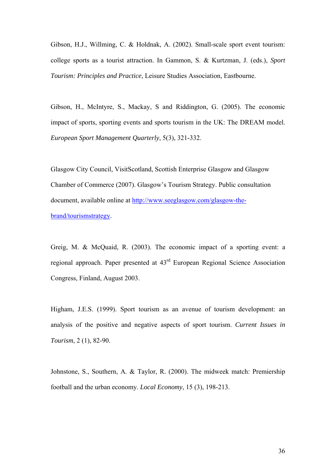Gibson, H.J., Willming, C. & Holdnak, A. (2002). Small-scale sport event tourism: college sports as a tourist attraction. In Gammon, S. & Kurtzman, J. (eds.), *Sport Tourism: Principles and Practice*, Leisure Studies Association, Eastbourne.

Gibson, H., McIntyre, S., Mackay, S and Riddington, G. (2005). The economic impact of sports, sporting events and sports tourism in the UK: The DREAM model. *European Sport Management Quarterly*, 5(3), 321-332.

Glasgow City Council, VisitScotland, Scottish Enterprise Glasgow and Glasgow Chamber of Commerce (2007). Glasgow's Tourism Strategy. Public consultation document, available online at [http://www.seeglasgow.com/glasgow-the](http://www.seeglasgow.com/glasgow-the-brand/tourismstrategy)[brand/tourismstrategy](http://www.seeglasgow.com/glasgow-the-brand/tourismstrategy).

Greig, M. & McQuaid, R. (2003). The economic impact of a sporting event: a regional approach. Paper presented at 43rd European Regional Science Association Congress, Finland, August 2003.

Higham, J.E.S. (1999). Sport tourism as an avenue of tourism development: an analysis of the positive and negative aspects of sport tourism. *Current Issues in Tourism*, 2 (1), 82-90.

Johnstone, S., Southern, A. & Taylor, R. (2000). The midweek match: Premiership football and the urban economy. *Local Economy*, 15 (3), 198-213.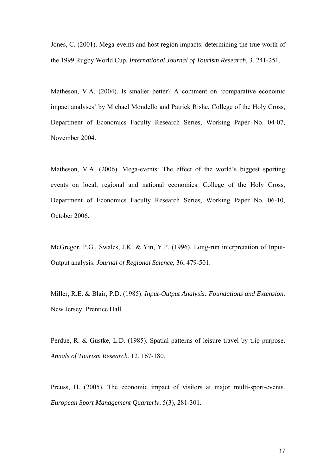Jones, C. (2001). Mega-events and host region impacts: determining the true worth of the 1999 Rugby World Cup. *International Journal of Tourism Research*, 3, 241-251.

Matheson, V.A. (2004). Is smaller better? A comment on 'comparative economic impact analyses' by Michael Mondello and Patrick Rishe. College of the Holy Cross, Department of Economics Faculty Research Series, Working Paper No. 04-07, November 2004.

Matheson, V.A. (2006). Mega-events: The effect of the world's biggest sporting events on local, regional and national economies. College of the Holy Cross, Department of Economics Faculty Research Series, Working Paper No. 06-10, October 2006.

McGregor, P.G., Swales, J.K. & Yin, Y.P. (1996). Long-run interpretation of Input-Output analysis. *Journal of Regional Science*, 36, 479-501.

Miller, R.E. & Blair, P.D. (1985). *Input-Output Analysis: Foundations and Extension*. New Jersey: Prentice Hall.

Perdue, R. & Gustke, L.D. (1985). Spatial patterns of leisure travel by trip purpose. *Annals of Tourism Research*. 12, 167-180.

Preuss, H. (2005). The economic impact of visitors at major multi-sport-events. *European Sport Management Quarterly*, 5(3), 281-301.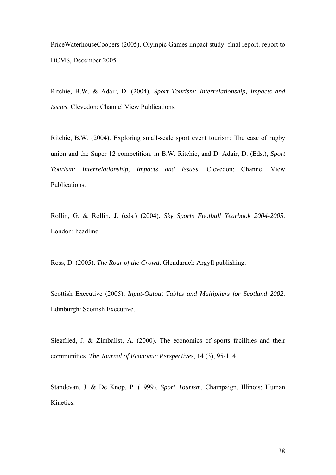PriceWaterhouseCoopers (2005). Olympic Games impact study: final report. report to DCMS, December 2005.

Ritchie, B.W. & Adair, D. (2004). *Sport Tourism: Interrelationship, Impacts and Issues*. Clevedon: Channel View Publications.

Ritchie, B.W. (2004). Exploring small-scale sport event tourism: The case of rugby union and the Super 12 competition. in B.W. Ritchie, and D. Adair, D. (Eds.), *Sport Tourism: Interrelationship, Impacts and Issues*. Clevedon: Channel View Publications.

Rollin, G. & Rollin, J. (eds.) (2004). *Sky Sports Football Yearbook 2004-2005*. London: headline.

Ross, D. (2005). *The Roar of the Crowd*. Glendaruel: Argyll publishing.

Scottish Executive (2005), *Input-Output Tables and Multipliers for Scotland 2002*. Edinburgh: Scottish Executive.

Siegfried, J. & Zimbalist, A. (2000). The economics of sports facilities and their communities. *The Journal of Economic Perspectives*, 14 (3), 95-114.

Standevan, J. & De Knop, P. (1999). *Sport Tourism*. Champaign, Illinois: Human Kinetics.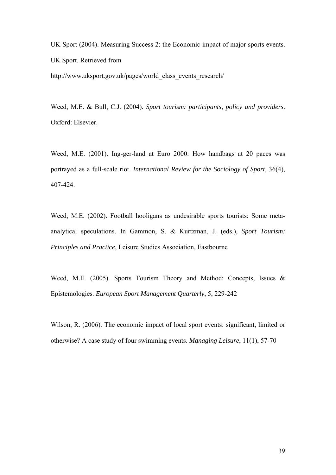UK Sport (2004). Measuring Success 2: the Economic impact of major sports events. UK Sport. Retrieved from http://www.uksport.gov.uk/pages/world\_class\_events\_research/

Weed, M.E. & Bull, C.J. (2004). *Sport tourism: participants, policy and providers*. Oxford: Elsevier.

Weed, M.E. (2001). Ing-ger-land at Euro 2000: How handbags at 20 paces was portrayed as a full-scale riot. *International Review for the Sociology of Sport*, 36(4), 407-424.

Weed, M.E. (2002). Football hooligans as undesirable sports tourists: Some metaanalytical speculations. In Gammon, S. & Kurtzman, J. (eds.), *Sport Tourism: Principles and Practice*, Leisure Studies Association, Eastbourne

Weed, M.E. (2005). Sports Tourism Theory and Method: Concepts, Issues & Epistemologies*. European Sport Management Quarterly*, 5, 229-242

Wilson, R. (2006). The economic impact of local sport events: significant, limited or otherwise? A case study of four swimming events. *Managing Leisure*, 11(1), 57-70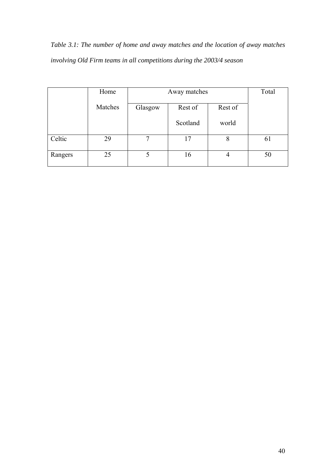*Table 3.1: The number of home and away matches and the location of away matches involving Old Firm teams in all competitions during the 2003/4 season* 

|         | Home    | Away matches |          |         |    |  |  |  |  |  |
|---------|---------|--------------|----------|---------|----|--|--|--|--|--|
|         | Matches | Glasgow      | Rest of  | Rest of |    |  |  |  |  |  |
|         |         |              | Scotland | world   |    |  |  |  |  |  |
| Celtic  | 29      | 7            | 17       | 8       | 61 |  |  |  |  |  |
| Rangers | 25      |              | 16       | 4       | 50 |  |  |  |  |  |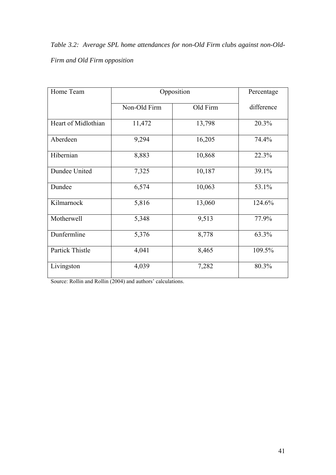*Table 3.2: Average SPL home attendances for non-Old Firm clubs against non-Old-Firm and Old Firm opposition* 

| Home Team           | Opposition   | Percentage |            |  |
|---------------------|--------------|------------|------------|--|
|                     | Non-Old Firm | Old Firm   | difference |  |
| Heart of Midlothian | 11,472       | 13,798     | 20.3%      |  |
| Aberdeen            | 9,294        | 16,205     | 74.4%      |  |
| Hibernian           | 8,883        | 10,868     | 22.3%      |  |
| Dundee United       | 7,325        | 10,187     | 39.1%      |  |
| Dundee              | 6,574        | 10,063     | 53.1%      |  |
| Kilmarnock          | 5,816        | 13,060     | 124.6%     |  |
| Motherwell          | 5,348        | 9,513      | 77.9%      |  |
| Dunfermline         | 5,376        | 8,778      | 63.3%      |  |
| Partick Thistle     | 4,041        | 8,465      | 109.5%     |  |
| Livingston          | 4,039        | 7,282      | 80.3%      |  |

Source: Rollin and Rollin (2004) and authors' calculations.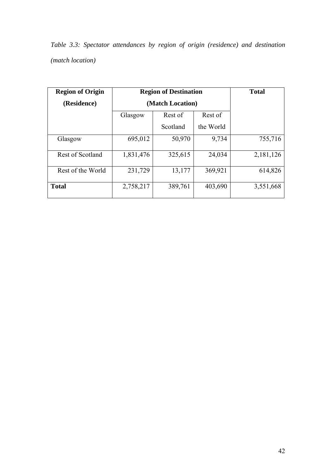*Table 3.3: Spectator attendances by region of origin (residence) and destination (match location)* 

| <b>Region of Origin</b> | <b>Region of Destination</b> | <b>Total</b> |           |           |
|-------------------------|------------------------------|--------------|-----------|-----------|
| (Residence)             | (Match Location)             |              |           |           |
|                         | Glasgow                      | Rest of      | Rest of   |           |
|                         |                              | Scotland     | the World |           |
| Glasgow                 | 695,012                      | 50,970       | 9,734     | 755,716   |
| Rest of Scotland        | 1,831,476                    | 325,615      | 24,034    | 2,181,126 |
| Rest of the World       | 231,729                      | 13,177       | 369,921   | 614,826   |
| <b>Total</b>            | 2,758,217                    | 389,761      | 403,690   | 3,551,668 |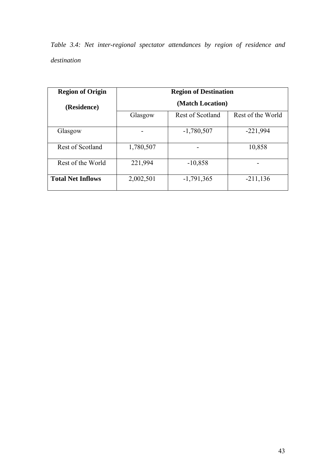*Table 3.4: Net inter-regional spectator attendances by region of residence and destination* 

| <b>Region of Origin</b>  |           | <b>Region of Destination</b> |                   |
|--------------------------|-----------|------------------------------|-------------------|
| (Residence)              |           | (Match Location)             |                   |
|                          | Glasgow   | Rest of Scotland             | Rest of the World |
| Glasgow                  |           | $-1,780,507$                 | $-221,994$        |
| Rest of Scotland         | 1,780,507 |                              | 10,858            |
| Rest of the World        | 221,994   | $-10,858$                    |                   |
| <b>Total Net Inflows</b> | 2,002,501 | $-1,791,365$                 | $-211,136$        |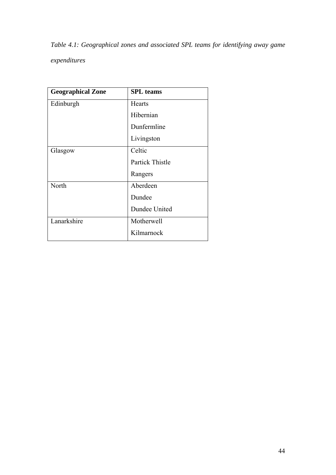*Table 4.1: Geographical zones and associated SPL teams for identifying away game expenditures* 

| <b>Geographical Zone</b> | <b>SPL</b> teams       |
|--------------------------|------------------------|
| Edinburgh                | Hearts                 |
|                          | Hibernian              |
|                          | Dunfermline            |
|                          | Livingston             |
| Glasgow                  | Celtic                 |
|                          | <b>Partick Thistle</b> |
|                          | Rangers                |
| North                    | Aberdeen               |
|                          | Dundee                 |
|                          | Dundee United          |
| Lanarkshire              | Motherwell             |
|                          | Kilmarnock             |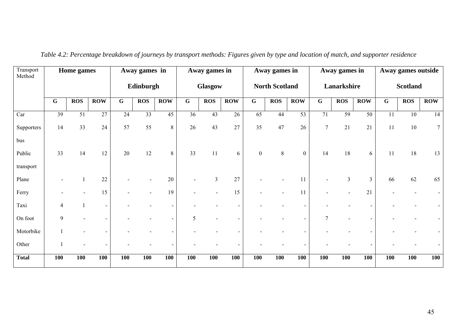| Transport<br>Method | Home games  |                 | Away games in  |             | Away games in |            |                | Away games in    |                       |                |            | Away games in            |                |                | Away games outside |                 |            |                 |
|---------------------|-------------|-----------------|----------------|-------------|---------------|------------|----------------|------------------|-----------------------|----------------|------------|--------------------------|----------------|----------------|--------------------|-----------------|------------|-----------------|
|                     |             |                 |                |             | Edinburgh     |            | <b>Glasgow</b> |                  | <b>North Scotland</b> |                |            | Lanarkshire              |                |                | <b>Scotland</b>    |                 |            |                 |
|                     | $\mathbf G$ | <b>ROS</b>      | <b>ROW</b>     | $\mathbf G$ | <b>ROS</b>    | <b>ROW</b> | $\overline{G}$ | $\overline{ROS}$ | $\overline{ROW}$      | $\overline{G}$ | <b>ROS</b> | $\overline{ROW}$         | $\mathbf G$    | <b>ROS</b>     | <b>ROW</b>         | $\mathbf G$     | <b>ROS</b> | <b>ROW</b>      |
| Car                 | 39          | $\overline{51}$ | 27             | 24          | 33            | 45         | 36             | 43               | 26                    | 65             | 44         | 53                       | 71             | 59             | 50                 | $\overline{11}$ | 10         | $\overline{14}$ |
| Supporters          | 14          | 33              | 24             | 57          | 55            | $8\,$      | 26             | 43               | 27                    | 35             | 47         | 26                       | $\overline{7}$ | $21\,$         | 21                 | 11              | $10\,$     | $7\overline{ }$ |
| bus                 |             |                 |                |             |               |            |                |                  |                       |                |            |                          |                |                |                    |                 |            |                 |
| Public              | 33          | 14              | 12             | 20          | $12\,$        | 8          | 33             | 11               | 6                     | $\overline{0}$ | 8          | $\mathbf{0}$             | 14             | 18             | 6                  | 11              | 18         | 13              |
| transport           |             |                 |                |             |               |            |                |                  |                       |                |            |                          |                |                |                    |                 |            |                 |
| Plane               |             |                 | 22             |             |               | 20         |                | $\overline{3}$   | 27                    |                |            | 11                       |                | $\mathfrak{Z}$ | $\mathfrak{Z}$     | 66              | 62         | 65              |
| Ferry               |             |                 | 15             |             |               | 19         |                |                  | 15                    |                |            | 11                       |                |                | 21                 |                 |            |                 |
| Taxi                | 4           |                 | $\blacksquare$ |             |               |            |                |                  |                       |                |            |                          |                |                |                    |                 |            |                 |
| On foot             | 9           |                 |                |             |               |            | 5              |                  |                       |                |            | $\overline{\phantom{a}}$ | $\overline{7}$ |                |                    |                 |            |                 |
| Motorbike           |             |                 |                |             |               |            |                |                  |                       |                |            |                          |                |                |                    |                 |            |                 |
| Other               |             |                 |                |             |               |            |                |                  |                       |                |            |                          |                |                |                    |                 |            |                 |
| <b>Total</b>        | <b>100</b>  | <b>100</b>      | 100            | 100         | 100           | 100        | 100            | <b>100</b>       | 100                   | 100            | 100        | <b>100</b>               | <b>100</b>     | <b>100</b>     | 100                | 100             | 100        | <b>100</b>      |

*Table 4.2: Percentage breakdown of journeys by transport methods: Figures given by type and location of match, and supporter residence*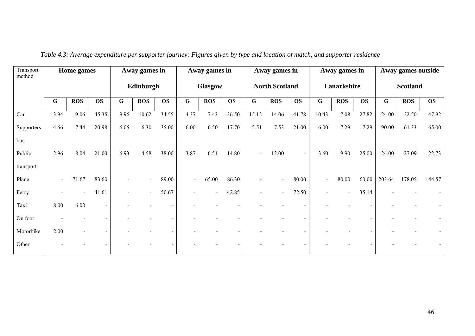| Transport<br>method | Home games     |            |                |             | Away games in |           | Away games in  |                          |           | Away games in         |            |                          | Away games in  |             |           | Away games outside |                 |           |  |
|---------------------|----------------|------------|----------------|-------------|---------------|-----------|----------------|--------------------------|-----------|-----------------------|------------|--------------------------|----------------|-------------|-----------|--------------------|-----------------|-----------|--|
|                     |                |            |                |             | Edinburgh     |           |                | Glasgow                  |           | <b>North Scotland</b> |            |                          |                | Lanarkshire |           |                    | <b>Scotland</b> |           |  |
|                     | $\mathbf G$    | <b>ROS</b> | <b>OS</b>      | $\mathbf G$ | <b>ROS</b>    | <b>OS</b> | $\overline{G}$ | <b>ROS</b>               | <b>OS</b> | $\mathbf G$           | <b>ROS</b> | <b>OS</b>                | $\overline{G}$ | <b>ROS</b>  | <b>OS</b> | $\mathbf G$        | <b>ROS</b>      | <b>OS</b> |  |
| Car                 | 3.94           | 9.06       | 45.35          | 9.96        | 10.62         | 34.55     | 4.37           | 7.43                     | 36.50     | 15.12                 | 14.06      | 41.78                    | 10.43          | 7.08        | 27.82     | 24.00              | 22.50           | 47.92     |  |
| Supporters          | 4.66           | 7.44       | 20.98          | 6.05        | 6.30          | 35.00     | 6.00           | 6.50                     | 17.70     | 5.51                  | 7.53       | 21.00                    | 6.00           | 7.29        | 17.29     | 90.00              | 61.33           | 65.00     |  |
| bus                 |                |            |                |             |               |           |                |                          |           |                       |            |                          |                |             |           |                    |                 |           |  |
| Public              | 2.96           | 8.04       | 21.00          | 6.93        | 4.58          | 38.00     | 3.87           | 6.51                     | 14.80     |                       | 12.00      | $\sim$                   | 3.60           | 9.90        | 25.00     | 24.00              | 27.09           | 22.73     |  |
| transport           |                |            |                |             |               |           |                |                          |           |                       |            |                          |                |             |           |                    |                 |           |  |
| Plane               | $\blacksquare$ | 71.67      | 83.60          |             |               | 89.00     | $\blacksquare$ | 65.00                    | 86.30     |                       |            | 80.00                    | $\blacksquare$ | 80.00       | 60.00     | 203.64             | 178.05          | 144.57    |  |
| Ferry               |                |            | 41.61          |             |               | 50.67     | $\blacksquare$ | $\overline{\phantom{0}}$ | 42.85     |                       | $\sim$     | 72.50                    | $\blacksquare$ | $\sim$      | 35.14     |                    |                 |           |  |
| Taxi                | 8.00           | 6.00       | $\blacksquare$ |             |               |           |                |                          |           |                       |            |                          |                |             |           |                    |                 |           |  |
| On foot             |                |            |                |             |               |           |                |                          |           |                       |            | $\overline{\phantom{a}}$ |                |             |           |                    |                 |           |  |
| Motorbike           | 2.00           |            |                |             |               |           |                |                          |           |                       |            |                          |                |             |           |                    |                 |           |  |
| Other               |                |            |                |             |               |           |                |                          |           |                       |            |                          |                |             |           |                    |                 |           |  |

*Table 4.3: Average expenditure per supporter journey: Figures given by type and location of match, and supporter residence*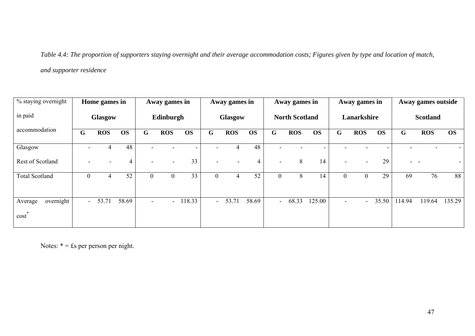*Table 4.4: The proportion of supporters staying overnight and their average accommodation costs; Figures given by type and location of match, and supporter residence* 

| % staying overnight          | Home games in    |            | Away games in |                | Away games in            |           | Away games in  |            |           |                          | Away games in         |           |                | Away games outside |           |        |                 |                          |
|------------------------------|------------------|------------|---------------|----------------|--------------------------|-----------|----------------|------------|-----------|--------------------------|-----------------------|-----------|----------------|--------------------|-----------|--------|-----------------|--------------------------|
| in paid                      |                  | Glasgow    |               |                | Edinburgh                |           |                | Glasgow    |           |                          | <b>North Scotland</b> |           |                | Lanarkshire        |           |        | <b>Scotland</b> |                          |
| accommodation                | G                | <b>ROS</b> | <b>OS</b>     | G              | <b>ROS</b>               | <b>OS</b> | G              | <b>ROS</b> | <b>OS</b> | G                        | <b>ROS</b>            | <b>OS</b> | G              | <b>ROS</b>         | <b>OS</b> | G      | <b>ROS</b>      | <b>OS</b>                |
| Glasgow                      |                  |            | 48            |                |                          |           |                |            | 48        |                          |                       |           |                |                    |           |        |                 |                          |
| Rest of Scotland             |                  |            | 4             |                | $\overline{\phantom{a}}$ | 33        |                |            | 4         | $\overline{\phantom{a}}$ | 8                     | 14        |                |                    | 29        | $\sim$ | $\sim$          | $\overline{\phantom{a}}$ |
| <b>Total Scotland</b>        | $\boldsymbol{0}$ | 4          | 52            | $\overline{0}$ | $\boldsymbol{0}$         | 33        | $\overline{0}$ | 4          | 52        | $\overline{0}$           | 8                     | 14        | $\overline{0}$ | $\boldsymbol{0}$   | 29        | 69     | 76              | 88                       |
| overnight<br>Average<br>cost | $\sim$           | 53.71      | 58.69         |                | $\overline{\phantom{a}}$ | 118.33    | $\sim$ $-$     | 53.71      | 58.69     | $\sim$                   | 68.33                 | 125.00    | $\blacksquare$ |                    | 35.50     | 114.94 | 119.64          | 135.29                   |

Notes:  $* = \text{fs per person per night.}$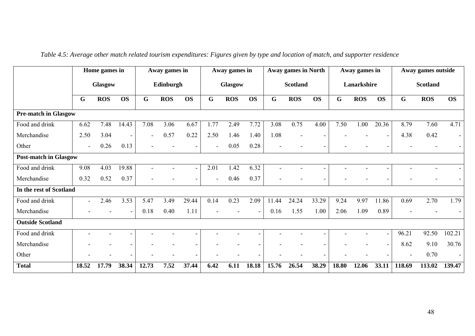|                              | Home games in            |                | Away games in            |       | Away games in |                          | <b>Away games in North</b> |            |                          | Away games in   |            |           | Away games outside |            |           |                 |            |                |
|------------------------------|--------------------------|----------------|--------------------------|-------|---------------|--------------------------|----------------------------|------------|--------------------------|-----------------|------------|-----------|--------------------|------------|-----------|-----------------|------------|----------------|
|                              |                          | <b>Glasgow</b> |                          |       | Edinburgh     |                          | Glasgow                    |            |                          | <b>Scotland</b> |            |           | Lanarkshire        |            |           | <b>Scotland</b> |            |                |
|                              | G                        | <b>ROS</b>     | <b>OS</b>                | G     | <b>ROS</b>    | <b>OS</b>                | G                          | <b>ROS</b> | <b>OS</b>                | G               | <b>ROS</b> | <b>OS</b> | G                  | <b>ROS</b> | <b>OS</b> | G               | <b>ROS</b> | <b>OS</b>      |
| <b>Pre-match in Glasgow</b>  |                          |                |                          |       |               |                          |                            |            |                          |                 |            |           |                    |            |           |                 |            |                |
| Food and drink               | 6.62                     | 7.48           | 14.43                    | 7.08  | 3.06          | 6.67                     | 1.77                       | 2.49       | 7.72                     | 3.08            | 0.75       | 4.00      | 7.50               | 1.00       | 20.36     | 8.79            | 7.60       | 4.71           |
| Merchandise                  | 2.50                     | 3.04           | $\overline{\phantom{a}}$ |       | 0.57          | 0.22                     | 2.50                       | 1.46       | 1.40                     | 1.08            |            |           |                    |            |           | 4.38            | 0.42       | $\overline{a}$ |
| Other                        | $\blacksquare$           | 0.26           | 0.13                     |       |               | $\overline{\phantom{0}}$ |                            | 0.05       | 0.28                     |                 |            |           |                    |            |           |                 |            |                |
| <b>Post-match in Glasgow</b> |                          |                |                          |       |               |                          |                            |            |                          |                 |            |           |                    |            |           |                 |            |                |
| Food and drink               | 9.08                     | 4.03           | 19.88                    |       |               | $\sim$                   | 2.01                       | 1.42       | 6.32                     |                 |            |           |                    |            |           |                 |            |                |
| Merchandise                  | 0.32                     | 0.52           | 0.37                     |       |               | $\overline{\phantom{0}}$ |                            | 0.46       | 0.37                     |                 |            |           |                    |            |           |                 |            |                |
| In the rest of Scotland      |                          |                |                          |       |               |                          |                            |            |                          |                 |            |           |                    |            |           |                 |            |                |
| Food and drink               | $\sim$                   | 2.46           | 3.53                     | 5.47  | 3.49          | 29.44                    | 0.14                       | 0.23       | 2.09                     | 11.44           | 24.24      | 33.29     | 9.24               | 9.97       | 11.86     | 0.69            | 2.70       | 1.79           |
| Merchandise                  |                          |                |                          | 0.18  | 0.40          | 1.11                     |                            |            |                          | 0.16            | 1.55       | 1.00      | 2.06               | 1.09       | 0.89      |                 |            |                |
| <b>Outside Scotland</b>      |                          |                |                          |       |               |                          |                            |            |                          |                 |            |           |                    |            |           |                 |            |                |
| Food and drink               | $\overline{\phantom{a}}$ |                |                          |       |               | $\sim$                   |                            | ۰          | $\overline{\phantom{0}}$ | $\equiv$        |            |           |                    |            |           | 96.21           | 92.50      | 102.21         |
| Merchandise                  |                          |                |                          |       |               | $\blacksquare$           |                            |            | $\overline{\phantom{a}}$ |                 |            |           |                    |            |           | 8.62            | 9.10       | 30.76          |
| Other                        |                          |                |                          |       |               | ٠                        |                            |            | Ξ.                       |                 |            |           |                    |            |           | $\blacksquare$  | 0.70       |                |
| <b>Total</b>                 | 18.52                    | 17.79          | 38.34                    | 12.73 | 7.52          | 37.44                    | 6.42                       | 6.11       | 18.18                    | 15.76           | 26.54      | 38.29     | 18.80              | 12.06      | 33.11     | 118.69          | 113.02     | 139.47         |

*Table 4.5: Average other match related tourism expenditures: Figures given by type and location of match, and supporter residence*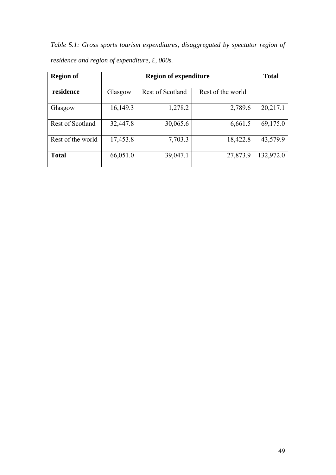*Table 5.1: Gross sports tourism expenditures, disaggregated by spectator region of residence and region of expenditure, £, 000s.* 

| <b>Region of</b>  |          | <b>Total</b>            |                   |           |
|-------------------|----------|-------------------------|-------------------|-----------|
| residence         | Glasgow  | <b>Rest of Scotland</b> | Rest of the world |           |
| Glasgow           | 16,149.3 | 1,278.2                 | 2,789.6           | 20,217.1  |
| Rest of Scotland  | 32,447.8 | 30,065.6                | 6,661.5           | 69,175.0  |
| Rest of the world | 17,453.8 | 7,703.3                 | 18,422.8          | 43,579.9  |
| <b>Total</b>      | 66,051.0 | 39,047.1                | 27,873.9          | 132,972.0 |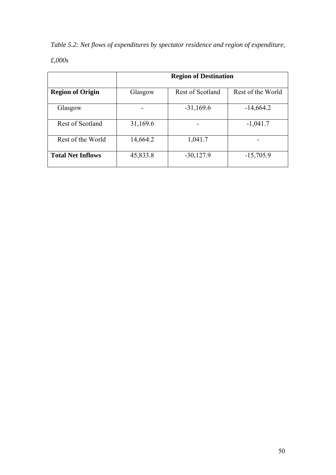*Table 5.2: Net flows of expenditures by spectator residence and region of expenditure,* 

*£,000s* 

|                          | <b>Region of Destination</b> |                         |                   |  |  |  |  |  |  |  |  |
|--------------------------|------------------------------|-------------------------|-------------------|--|--|--|--|--|--|--|--|
| <b>Region of Origin</b>  | Glasgow                      | <b>Rest of Scotland</b> | Rest of the World |  |  |  |  |  |  |  |  |
| Glasgow                  |                              | $-31,169.6$             | $-14,664.2$       |  |  |  |  |  |  |  |  |
| Rest of Scotland         | 31,169.6                     |                         | $-1,041.7$        |  |  |  |  |  |  |  |  |
| Rest of the World        | 14,664.2                     | 1,041.7                 |                   |  |  |  |  |  |  |  |  |
| <b>Total Net Inflows</b> | 45,833.8                     | $-30,127.9$             | $-15,705.9$       |  |  |  |  |  |  |  |  |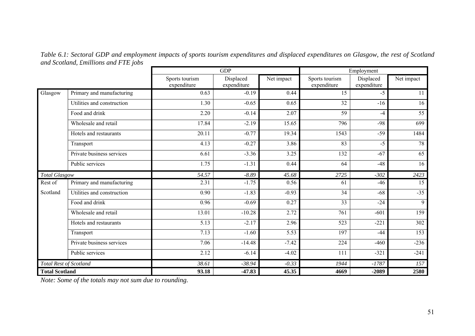*Table 6.1: Sectoral GDP and employment impacts of sports tourism expenditures and displaced expenditures on Glasgow, the rest of Scotland and Scotland, £millions and FTE jobs* 

|                       |                               |                               | <b>GDP</b>               |            |                               | Employment               |                 |
|-----------------------|-------------------------------|-------------------------------|--------------------------|------------|-------------------------------|--------------------------|-----------------|
|                       |                               | Sports tourism<br>expenditure | Displaced<br>expenditure | Net impact | Sports tourism<br>expenditure | Displaced<br>expenditure | Net impact      |
| Glasgow               | Primary and manufacturing     | 0.63                          | $-0.19$                  | 0.44       | 15                            | $-5$                     | 11              |
|                       | Utilities and construction    | 1.30                          | $-0.65$                  | 0.65       | 32                            | $-16$                    | 16              |
|                       | Food and drink                | 2.20                          | $-0.14$                  | 2.07       | 59                            | $-4$                     | $\overline{55}$ |
|                       | Wholesale and retail          | 17.84                         | $-2.19$                  | 15.65      | 796                           | $-98$                    | 699             |
|                       | Hotels and restaurants        | 20.11                         | $-0.77$                  | 19.34      | 1543                          | $-59$                    | 1484            |
|                       | Transport                     | 4.13                          | $-0.27$                  | 3.86       | 83                            | $-5$                     | 78              |
|                       | Private business services     | 6.61                          | $-3.36$                  | 3.25       | 132                           | $-67$                    | 65              |
|                       | Public services               | 1.75                          | $-1.31$                  | 0.44       | 64                            | $-48$                    | 16              |
| <b>Total Glasgow</b>  |                               | 54.57                         | $-8.89$                  | 45.68      | 2725                          | $-302$                   | 2423            |
| Rest of               | Primary and manufacturing     | 2.31                          | $-1.75$                  | 0.56       | 61                            | $-46$                    | 15              |
| Scotland              | Utilities and construction    | $\overline{0.90}$             | $-1.83$                  | $-0.93$    | $\overline{34}$               | $-68$                    | $-35$           |
|                       | Food and drink                | 0.96                          | $-0.69$                  | 0.27       | 33                            | $-24$                    | 9               |
|                       | Wholesale and retail          | 13.01                         | $-10.28$                 | 2.72       | $\overline{761}$              | $-601$                   | 159             |
|                       | Hotels and restaurants        | 5.13                          | $-2.17$                  | 2.96       | 523                           | $-221$                   | 302             |
|                       | Transport                     | 7.13                          | $-1.60$                  | 5.53       | $\overline{197}$              | $-44$                    | 153             |
|                       | Private business services     | 7.06                          | $-14.48$                 | $-7.42$    | 224                           | $-460$                   | $-236$          |
|                       | Public services               | 2.12                          | $-6.14$                  | $-4.02$    | 111                           | $-321$                   | $-241$          |
|                       | <b>Total Rest of Scotland</b> | 38.61                         | $-38.94$                 | $-0.33$    | 1944                          | $-1787$                  | 157             |
| <b>Total Scotland</b> |                               | 93.18                         | $-47.83$                 | 45.35      | 4669                          | $-2089$                  | 2580            |

*Note: Some of the totals may not sum due to rounding.*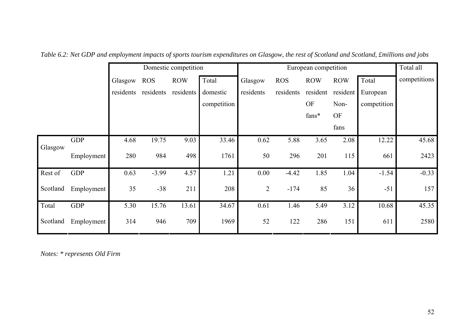|          |            | Domestic competition |            |            |             | European competition |            |                |            | Total all   |              |
|----------|------------|----------------------|------------|------------|-------------|----------------------|------------|----------------|------------|-------------|--------------|
|          |            | Glasgow              | <b>ROS</b> | <b>ROW</b> | Total       | Glasgow              | <b>ROS</b> | <b>ROW</b>     | <b>ROW</b> | Total       | competitions |
|          |            | residents            | residents  | residents  | domestic    | residents            | residents  | resident       | resident   | European    |              |
|          |            |                      |            |            | competition |                      |            | OF             | Non-       | competition |              |
|          |            |                      |            |            |             |                      |            | ${\rm fans^*}$ | <b>OF</b>  |             |              |
|          |            |                      |            |            |             |                      |            |                | fans       |             |              |
|          | <b>GDP</b> | 4.68                 | 19.75      | 9.03       | 33.46       | 0.62                 | 5.88       | 3.65           | 2.08       | 12.22       | 45.68        |
| Glasgow  | Employment | 280                  | 984        | 498        | 1761        | 50                   | 296        | 201            | 115        | 661         | 2423         |
| Rest of  | <b>GDP</b> | 0.63                 | $-3.99$    | 4.57       | 1.21        | 0.00                 | $-4.42$    | 1.85           | 1.04       | $-1.54$     | $-0.33$      |
| Scotland | Employment | 35                   | $-38$      | 211        | 208         | 2                    | $-174$     | 85             | 36         | $-51$       | 157          |
| Total    | <b>GDP</b> | 5.30                 | 15.76      | 13.61      | 34.67       | 0.61                 | 1.46       | 5.49           | 3.12       | 10.68       | 45.35        |
| Scotland | Employment | 314                  | 946        | 709        | 1969        | 52                   | 122        | 286            | 151        | 611         | 2580         |

*Table 6.2: Net GDP and employment impacts of sports tourism expenditures on Glasgow, the rest of Scotland and Scotland, £millions and jobs* 

*Notes: \* represents Old Firm*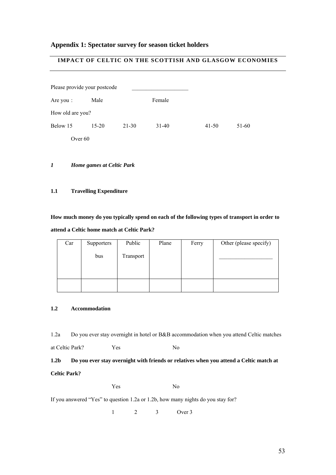#### **Appendix 1: Spectator survey for season ticket holders**

#### **IMPACT OF CELTIC ON THE SCOTTISH AND GLASGOW ECONOMIES**

|                  | Please provide your postcode |           |         |           |       |  |  |  |
|------------------|------------------------------|-----------|---------|-----------|-------|--|--|--|
| Are you :        | Male                         |           | Female  |           |       |  |  |  |
| How old are you? |                              |           |         |           |       |  |  |  |
| Below 15         | $15 - 20$                    | $21 - 30$ | $31-40$ | $41 - 50$ | 51-60 |  |  |  |
|                  | Over 60                      |           |         |           |       |  |  |  |
|                  |                              |           |         |           |       |  |  |  |
| $\boldsymbol{l}$ | Home games at Celtic Park    |           |         |           |       |  |  |  |

#### **1.1 Travelling Expenditure**

**How much money do you typically spend on each of the following types of transport in order to attend a Celtic home match at Celtic Park?** 

| Car | Supporters | Public    | Plane | Ferry | Other (please specify) |
|-----|------------|-----------|-------|-------|------------------------|
|     | bus        | Transport |       |       |                        |
|     |            |           |       |       |                        |

#### **1.2 Accommodation**

1.2a Do you ever stay overnight in hotel or B&B accommodation when you attend Celtic matches

at Celtic Park? Yes No

### **1.2b Do you ever stay overnight with friends or relatives when you attend a Celtic match at Celtic Park?**

Yes No

If you answered "Yes" to question 1.2a or 1.2b, how many nights do you stay for?

1 2 3 Over 3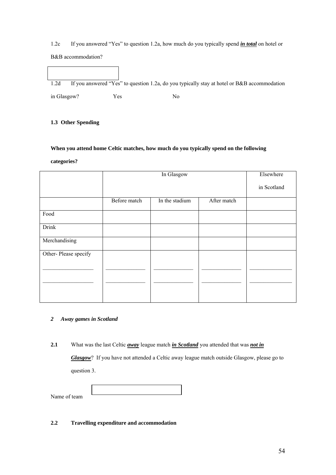1.2c If you answered "Yes" to question 1.2a, how much do you typically spend *in total* on hotel or B&B accommodation?

1.2d If you answered "Yes" to question 1.2a, do you typically stay at hotel or B&B accommodation in Glasgow? Yes No

#### **1.3 Other Spending**

#### **When you attend home Celtic matches, how much do you typically spend on the following**

#### **categories?**

|                      |              | Elsewhere      |             |             |
|----------------------|--------------|----------------|-------------|-------------|
|                      |              |                |             | in Scotland |
|                      | Before match | In the stadium | After match |             |
| Food                 |              |                |             |             |
| <b>Drink</b>         |              |                |             |             |
| Merchandising        |              |                |             |             |
| Other-Please specify |              |                |             |             |
|                      |              |                |             |             |
|                      |              |                |             |             |
|                      |              |                |             |             |

#### *2 Away games in Scotland*

**2.1** What was the last Celtic *away* league match *in Scotland* you attended that was *not in* 

*Glasgow*? If you have not attended a Celtic away league match outside Glasgow, please go to question 3.

| Name of team |  |
|--------------|--|

**2.2 Travelling expenditure and accommodation**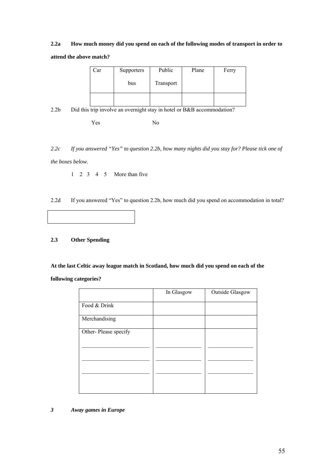## **2.2a How much money did you spend on each of the following modes of transport in order to attend the above match?**

| Car | Supporters | Public    | Plane | Ferry |
|-----|------------|-----------|-------|-------|
|     | bus        | Transport |       |       |
|     |            |           |       |       |

2.2b Did this trip involve an overnight stay in hotel or B&B accommodation?

Yes No

*2.2c If you answered "Yes" to question 2.2b, how many nights did you stay for? Please tick one of the boxes below.* 

1 23 4 5 More than five

2.2d If you answered "Yes" to question 2.2b, how much did you spend on accommodation in total?

#### **2.3 Other Spending**

**At the last Celtic away league match in Scotland, how much did you spend on each of the** 

**following categories?** 

|                      | In Glasgow | <b>Outside Glasgow</b> |
|----------------------|------------|------------------------|
| Food & Drink         |            |                        |
| Merchandising        |            |                        |
| Other-Please specify |            |                        |
|                      |            |                        |
|                      |            |                        |
|                      |            |                        |
|                      |            |                        |

#### *3 Away games in Europe*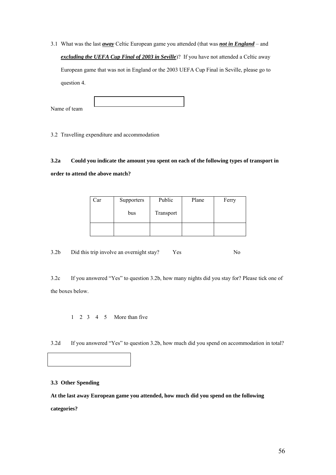3.1 What was the last *away* Celtic European game you attended (that was *not in England* – and *excluding the UEFA Cup Final of 2003 in Seville*)? If you have not attended a Celtic away European game that was not in England or the 2003 UEFA Cup Final in Seville, please go to question 4.

| Name of team |  |
|--------------|--|

3.2 Travelling expenditure and accommodation

## **3.2a Could you indicate the amount you spent on each of the following types of transport in order to attend the above match?**

| Car | Supporters | Public    | Plane | Ferry |
|-----|------------|-----------|-------|-------|
|     | bus        | Transport |       |       |
|     |            |           |       |       |

3.2b Did this trip involve an overnight stay? Yes No

3.2c If you answered "Yes" to question 3.2b, how many nights did you stay for? Please tick one of the boxes below.

1 23 4 5 More than five

3.2d If you answered "Yes" to question 3.2b, how much did you spend on accommodation in total?

#### **3.3 Other Spending**

**At the last away European game you attended, how much did you spend on the following** 

**categories?**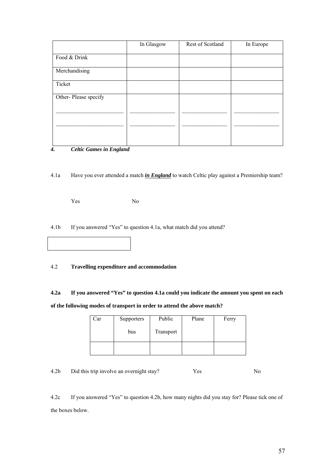|                      | In Glasgow | Rest of Scotland | In Europe |
|----------------------|------------|------------------|-----------|
| Food & Drink         |            |                  |           |
| Merchandising        |            |                  |           |
| Ticket               |            |                  |           |
| Other-Please specify |            |                  |           |
|                      |            |                  |           |
|                      |            |                  |           |
|                      |            |                  |           |

#### *4. Celtic Games in England*

4.1a Have you ever attended a match *in England* to watch Celtic play against a Premiership team?

Yes No

4.1b If you answered "Yes" to question 4.1a, what match did you attend?

#### 4.2 **Travelling expenditure and accommodation**

**4.2a If you answered "Yes" to question 4.1a could you indicate the amount you spent on each of the following modes of transport in order to attend the above match?** 

| Car | Supporters | Public    | Plane | Ferry |
|-----|------------|-----------|-------|-------|
|     | bus        | Transport |       |       |
|     |            |           |       |       |

4.2b Did this trip involve an overnight stay? Yes No

4.2c If you answered "Yes" to question 4.2b, how many nights did you stay for? Please tick one of the boxes below.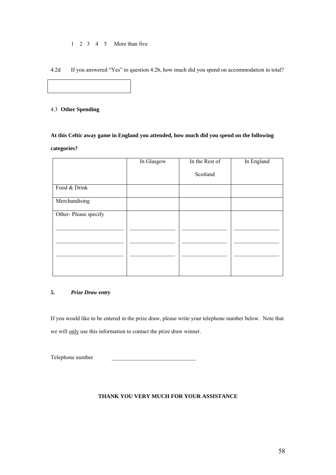#### 1 23 4 5 More than five

4.2d If you answered "Yes" to question 4.2b, how much did you spend on accommodation in total?

#### 4.3 **Other Spending**

## **At this Celtic away game in England you attended, how much did you spend on the following categories?**

|                      | In Glasgow | In the Rest of | In England |
|----------------------|------------|----------------|------------|
|                      |            | Scotland       |            |
| Food & Drink         |            |                |            |
| Merchandising        |            |                |            |
| Other-Please specify |            |                |            |
|                      |            |                |            |
|                      |            |                |            |
|                      |            |                |            |
|                      |            |                |            |

#### *5. Prize Draw entry*

If you would like to be entered in the prize draw, please write your telephone number below. Note that we will only use this information to contact the prize draw winner.

Telephone number

#### **THANK YOU VERY MUCH FOR YOUR ASSISTANCE**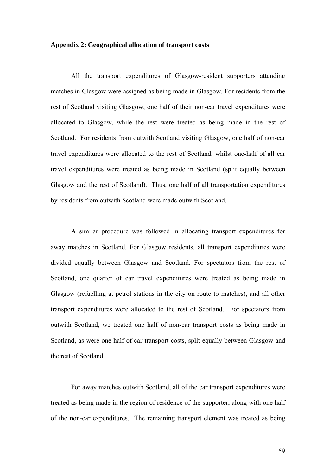#### **Appendix 2: Geographical allocation of transport costs**

All the transport expenditures of Glasgow-resident supporters attending matches in Glasgow were assigned as being made in Glasgow. For residents from the rest of Scotland visiting Glasgow, one half of their non-car travel expenditures were allocated to Glasgow, while the rest were treated as being made in the rest of Scotland. For residents from outwith Scotland visiting Glasgow, one half of non-car travel expenditures were allocated to the rest of Scotland, whilst one-half of all car travel expenditures were treated as being made in Scotland (split equally between Glasgow and the rest of Scotland). Thus, one half of all transportation expenditures by residents from outwith Scotland were made outwith Scotland.

A similar procedure was followed in allocating transport expenditures for away matches in Scotland. For Glasgow residents, all transport expenditures were divided equally between Glasgow and Scotland. For spectators from the rest of Scotland, one quarter of car travel expenditures were treated as being made in Glasgow (refuelling at petrol stations in the city on route to matches), and all other transport expenditures were allocated to the rest of Scotland. For spectators from outwith Scotland, we treated one half of non-car transport costs as being made in Scotland, as were one half of car transport costs, split equally between Glasgow and the rest of Scotland.

For away matches outwith Scotland, all of the car transport expenditures were treated as being made in the region of residence of the supporter, along with one half of the non-car expenditures. The remaining transport element was treated as being

59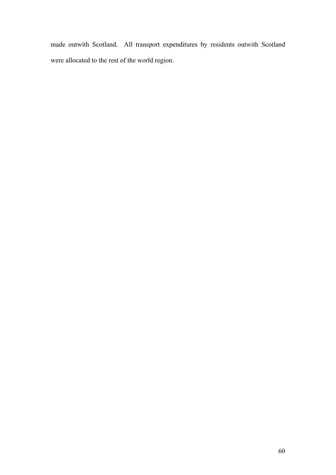made outwith Scotland. All transport expenditures by residents outwith Scotland were allocated to the rest of the world region.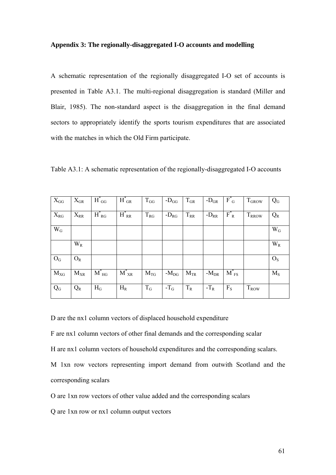#### **Appendix 3: The regionally-disaggregated I-O accounts and modelling**

A schematic representation of the regionally disaggregated I-O set of accounts is presented in Table A3.1. The multi-regional disaggregation is standard (Miller and Blair, 1985). The non-standard aspect is the disaggregation in the final demand sectors to appropriately identify the sports tourism expenditures that are associated with the matches in which the Old Firm participate.

Table A3.1: A schematic representation of the regionally-disaggregated I-O accounts

| $X_{GG}$        | $X_{GR}$ | $H^*_{GG}$ | $H^*_{GR}$ | $T_{GG}$ | - $D_{GG}$ | $T_{\mathrm{GR}}$ | - $D_{\rm GR}$ | $F^*$ <sub>G</sub>             | $T_{\rm GROW}$ | $Q_G$          |
|-----------------|----------|------------|------------|----------|------------|-------------------|----------------|--------------------------------|----------------|----------------|
| $X_{RG}$        | $X_{RR}$ | $H_{RG}^*$ | $H^*_{RR}$ | $T_{RG}$ | $-D_{RG}$  | $T_{RR}$          | $-D_{RR}$      | $F_R^*$                        | <b>TRROW</b>   | $Q_R$          |
| $W_G$           |          |            |            |          |            |                   |                |                                |                | $W_G$          |
|                 | $W_R$    |            |            |          |            |                   |                |                                |                | $W_R$          |
| $\mathcal{O}_G$ | $O_R$    |            |            |          |            |                   |                |                                |                | O <sub>S</sub> |
| $M_{XG}$        | $M_{XR}$ | $M_{HG}^*$ | $M^*_{XR}$ | $M_{TG}$ | $-MDG$     | $M_{TR}$          | $-M_{DR}$      | $M$ <sup>*</sup> <sub>FS</sub> |                | $M_S$          |
| Q <sub>G</sub>  | $Q_{R}$  | $H_G$      | $H_R$      | $T_G$    | $-T_G$     | $T_R$             | $-T_R$         | $F_S$                          | $T_{\rm{ROW}}$ |                |

D are the nx1 column vectors of displaced household expenditure

F are nx1 column vectors of other final demands and the corresponding scalar

H are nx1 column vectors of household expenditures and the corresponding scalars.

M 1xn row vectors representing import demand from outwith Scotland and the corresponding scalars

O are 1xn row vectors of other value added and the corresponding scalars

Q are 1xn row or nx1 column output vectors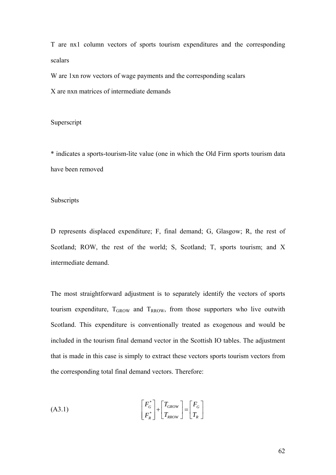T are nx1 column vectors of sports tourism expenditures and the corresponding scalars

W are 1xn row vectors of wage payments and the corresponding scalars

X are nxn matrices of intermediate demands

#### Superscript

\* indicates a sports-tourism-lite value (one in which the Old Firm sports tourism data have been removed

#### Subscripts

D represents displaced expenditure; F, final demand; G, Glasgow; R, the rest of Scotland; ROW, the rest of the world; S, Scotland; T, sports tourism; and X intermediate demand.

The most straightforward adjustment is to separately identify the vectors of sports tourism expenditure,  $T_{GROW}$  and  $T_{RROW}$ , from those supporters who live outwith Scotland. This expenditure is conventionally treated as exogenous and would be included in the tourism final demand vector in the Scottish IO tables. The adjustment that is made in this case is simply to extract these vectors sports tourism vectors from the corresponding total final demand vectors. Therefore:

$$
(A3.1) \qquad \qquad \begin{bmatrix} F_G^* \\ F_R^* \end{bmatrix} + \begin{bmatrix} T_{GROW} \\ T_{RROW} \end{bmatrix} = \begin{bmatrix} F_G \\ T_R \end{bmatrix}
$$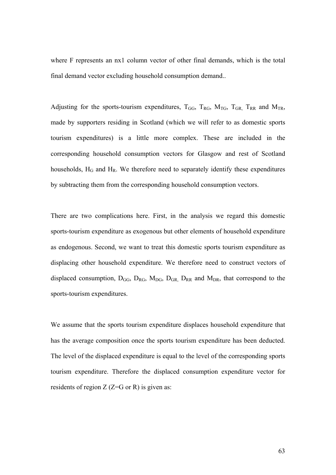where F represents an nx1 column vector of other final demands, which is the total final demand vector excluding household consumption demand..

Adjusting for the sports-tourism expenditures,  $T_{GG}$ ,  $T_{RG}$ ,  $M_{TG}$ ,  $T_{GR}$ ,  $T_{RR}$  and  $M_{TR}$ , made by supporters residing in Scotland (which we will refer to as domestic sports tourism expenditures) is a little more complex. These are included in the corresponding household consumption vectors for Glasgow and rest of Scotland households,  $H_G$  and  $H_R$ . We therefore need to separately identify these expenditures by subtracting them from the corresponding household consumption vectors.

There are two complications here. First, in the analysis we regard this domestic sports-tourism expenditure as exogenous but other elements of household expenditure as endogenous. Second, we want to treat this domestic sports tourism expenditure as displacing other household expenditure. We therefore need to construct vectors of displaced consumption,  $D_{GG}$ ,  $D_{RG}$ ,  $M_{DG}$ ,  $D_{GR}$ ,  $D_{RR}$  and  $M_{DR}$ , that correspond to the sports-tourism expenditures.

We assume that the sports tourism expenditure displaces household expenditure that has the average composition once the sports tourism expenditure has been deducted. The level of the displaced expenditure is equal to the level of the corresponding sports tourism expenditure. Therefore the displaced consumption expenditure vector for residents of region  $Z$  ( $Z = G$  or R) is given as: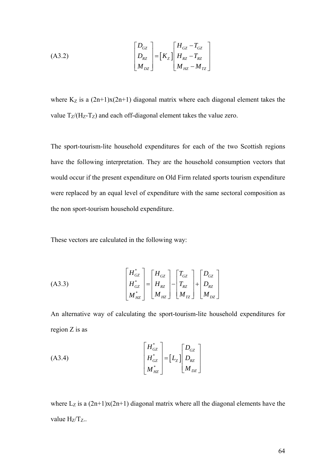$$
(A3.2) \qquad \begin{bmatrix} D_{GZ} \\ D_{RZ} \\ M_{DZ} \end{bmatrix} = \begin{bmatrix} K_Z \end{bmatrix} \begin{bmatrix} H_{GZ} - T_{GZ} \\ H_{RZ} - T_{RZ} \\ M_{HZ} - M_{TZ} \end{bmatrix}
$$

where  $K_Z$  is a  $(2n+1)x(2n+1)$  diagonal matrix where each diagonal element takes the value  $T_Z/(H_Z-T_Z)$  and each off-diagonal element takes the value zero.

The sport-tourism-lite household expenditures for each of the two Scottish regions have the following interpretation. They are the household consumption vectors that would occur if the present expenditure on Old Firm related sports tourism expenditure were replaced by an equal level of expenditure with the same sectoral composition as the non sport-tourism household expenditure.

These vectors are calculated in the following way:

(A3.3)
$$
\begin{bmatrix} H_{GZ}^* \\ H_{GZ}^* \\ M_{HZ}^* \end{bmatrix} = \begin{bmatrix} H_{GZ} \\ H_{RZ} \\ M_{HZ} \end{bmatrix} - \begin{bmatrix} T_{GZ} \\ T_{RZ} \\ M_{IZ} \end{bmatrix} + \begin{bmatrix} D_{GZ} \\ D_{RZ} \\ M_{DZ} \end{bmatrix}
$$

An alternative way of calculating the sport-tourism-lite household expenditures for region Z is as

$$
(A3.4) \qquad \begin{bmatrix} H_{GZ}^* \\ H_{GZ}^* \\ M_{HZ}^* \end{bmatrix} = \begin{bmatrix} L_z \end{bmatrix} \begin{bmatrix} D_{GZ} \\ D_{RZ} \\ M_{DZ} \end{bmatrix}
$$

where  $L_z$  is a  $(2n+1)x(2n+1)$  diagonal matrix where all the diagonal elements have the value  $H_Z/T_Z$ ..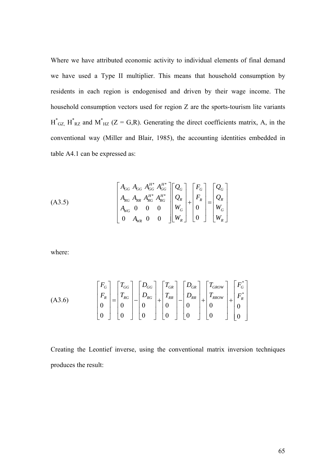Where we have attributed economic activity to individual elements of final demand we have used a Type II multiplier. This means that household consumption by residents in each region is endogenised and driven by their wage income. The household consumption vectors used for region Z are the sports-tourism lite variants  $H^*_{\text{GZ}}$ ,  $H^*_{\text{RZ}}$  and  $M^*_{\text{HZ}}$  (Z = G,R). Generating the direct coefficients matrix, A, in the conventional way (Miller and Blair, 1985), the accounting identities embedded in table A4.1 can be expressed as:

(A3.5)

\n
$$
\begin{bmatrix}\nA_{GG} & A_{GG} & A_{GG}^{H^*} & A_{GG}^{H^*} \\
A_{RG} & A_{RR} & A_{RG}^{H^*} & A_{RG}^{H^*} \\
A_{WG} & 0 & 0 & 0 \\
0 & A_{WR} & 0 & 0\n\end{bmatrix}\n\begin{bmatrix}\nQ_G \\
Q_R \\
W_G \\
W_G\n\end{bmatrix} +\n\begin{bmatrix}\nF_G \\
F_R \\
0 \\
W_G \\
W_R\n\end{bmatrix} =\n\begin{bmatrix}\nQ_G \\
Q_R \\
W_G \\
W_G\n\end{bmatrix}
$$

where:

$$
(A3.6) \qquad \begin{bmatrix} F_G \\ F_R \\ 0 \\ 0 \end{bmatrix} = \begin{bmatrix} T_{GG} \\ T_{RG} \\ 0 \\ 0 \end{bmatrix} - \begin{bmatrix} D_{GG} \\ D_{RG} \\ 0 \\ 0 \end{bmatrix} + \begin{bmatrix} T_{GR} \\ T_{RR} \\ 0 \\ 0 \end{bmatrix} - \begin{bmatrix} D_{GR} \\ D_{RR} \\ 0 \\ 0 \end{bmatrix} + \begin{bmatrix} T_{GROW} \\ T_{RROW} \\ 0 \\ 0 \end{bmatrix} + \begin{bmatrix} F_G^* \\ F_R^* \\ 0 \\ 0 \end{bmatrix}
$$

Creating the Leontief inverse, using the conventional matrix inversion techniques produces the result: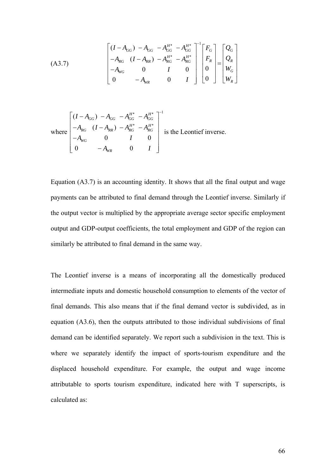(A3.7)  

$$
\begin{bmatrix}\n(I - A_{GG}) - A_{GG} & -A_{GG}^{H^*} - A_{GG}^{H^*} \\
-A_{RG} & (I - A_{RR}) - A_{RG}^{H^*} - A_{RG}^{H^*} \\
-A_{WG} & 0 & I & 0 \\
0 & -A_{WR} & 0 & I\n\end{bmatrix}\n\begin{bmatrix}\nF_G \\
F_R \\
0 \\
0\n\end{bmatrix} =\n\begin{bmatrix}\nQ_G \\
Q_R \\
W_G \\
W_G\n\end{bmatrix}
$$

where 
$$
\begin{bmatrix} (I - A_{GG}) - A_{GG} - A_{GG}^{H^*} - A_{GG}^{H^*} \\ -A_{RG} & (I - A_{RR}) - A_{RG}^{H^*} - A_{RG}^{H^*} \\ -A_{WG} & 0 & I & 0 \\ 0 & -A_{WR} & 0 & I \end{bmatrix}
$$
 is the Leontief inverse.

Equation (A3.7) is an accounting identity. It shows that all the final output and wage payments can be attributed to final demand through the Leontief inverse. Similarly if the output vector is multiplied by the appropriate average sector specific employment output and GDP-output coefficients, the total employment and GDP of the region can similarly be attributed to final demand in the same way.

The Leontief inverse is a means of incorporating all the domestically produced intermediate inputs and domestic household consumption to elements of the vector of final demands. This also means that if the final demand vector is subdivided, as in equation (A3.6), then the outputs attributed to those individual subdivisions of final demand can be identified separately. We report such a subdivision in the text. This is where we separately identify the impact of sports-tourism expenditure and the displaced household expenditure. For example, the output and wage income attributable to sports tourism expenditure, indicated here with T superscripts, is calculated as: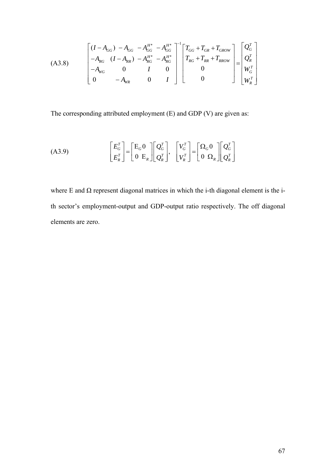(A3.8)

\n
$$
\begin{bmatrix}\n(I - A_{GG}) - A_{GG} - A_{GG}^{H^*} - A_{GG}^{H^*} \\
-A_{RG} & (I - A_{RR}) - A_{RG}^{H^*} - A_{RG}^{H^*} \\
-A_{WG} & 0 & I & 0 \\
0 & - A_{WR} & 0 & I\n\end{bmatrix}\n\begin{bmatrix}\nT_{GG} + T_{GR} + T_{GROW} \\
T_{RG} + T_{RR} + T_{RROW} \\
0 \\
0 \\
0 \\
0\n\end{bmatrix}\n=\n\begin{bmatrix}\nQ_G^T \\
Q_R^T \\
W_G^T \\
W_G^T\n\end{bmatrix}
$$

The corresponding attributed employment (E) and GDP (V) are given as:

$$
(A3.9) \qquad \begin{bmatrix} E_G^T \\ E_R^T \end{bmatrix} = \begin{bmatrix} E_G 0 \\ 0 & E_R \end{bmatrix} \begin{bmatrix} Q_G^T \\ Q_R^T \end{bmatrix}, \quad \begin{bmatrix} V_G^T \\ V_R^T \end{bmatrix} = \begin{bmatrix} \Omega_G 0 \\ 0 & \Omega_R \end{bmatrix} \begin{bmatrix} Q_G^T \\ Q_R^T \end{bmatrix}
$$

where E and  $\Omega$  represent diagonal matrices in which the i-th diagonal element is the ith sector's employment-output and GDP-output ratio respectively. The off diagonal elements are zero.